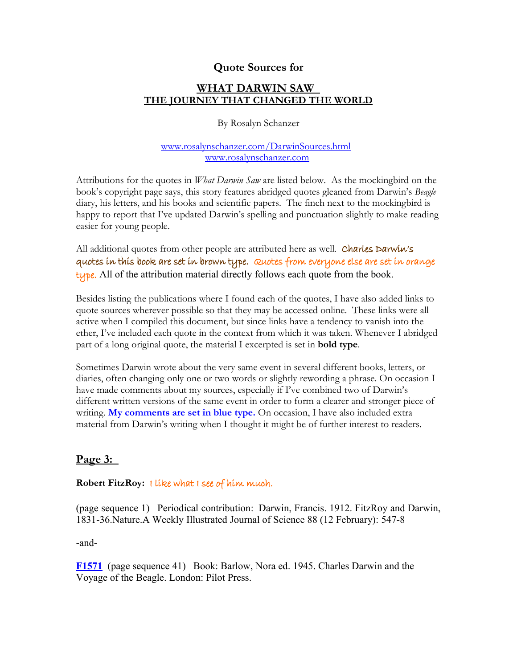## **Quote Sources for**

## **WHAT DARWIN SAW THE JOURNEY THAT CHANGED THE WORLD**

By Rosalyn Schanzer

#### [www.rosalynschanzer.com/DarwinSources.html](http://www.rosalynschanzer.com/DarwinSources.html)  [www.rosalynschanzer.com](http://www.rosalynschanzer.com/)

Attributions for the quotes in *What Darwin Saw* are listed below. As the mockingbird on the book's copyright page says, this story features abridged quotes gleaned from Darwin's *Beagle* diary, his letters, and his books and scientific papers. The finch next to the mockingbird is happy to report that I've updated Darwin's spelling and punctuation slightly to make reading easier for young people.

All additional quotes from other people are attributed here as well. Charles Darwin's quotes in this book are set in brown type. Quotes from everyone else are set in orange type. All of the attribution material directly follows each quote from the book.

Besides listing the publications where I found each of the quotes, I have also added links to quote sources wherever possible so that they may be accessed online. These links were all active when I compiled this document, but since links have a tendency to vanish into the ether, I've included each quote in the context from which it was taken. Whenever I abridged part of a long original quote, the material I excerpted is set in **bold type**.

Sometimes Darwin wrote about the very same event in several different books, letters, or diaries, often changing only one or two words or slightly rewording a phrase. On occasion I have made comments about my sources, especially if I've combined two of Darwin's different written versions of the same event in order to form a clearer and stronger piece of writing. **My comments are set in blue type.** On occasion, I have also included extra material from Darwin's writing when I thought it might be of further interest to readers.

# **Page 3:**

#### **Robert FitzRoy:** I like what I see of him much.

(page sequence 1) Periodical contribution: Darwin, Francis. 1912. FitzRoy and Darwin, 1831-36.Nature.A Weekly Illustrated Journal of Science 88 (12 February): 547-8

-and-

**[F1571](http://darwin-online.org.uk/content/frameset?viewtype=text&itemID=F1571&keywords=what+see+i+him+much+fitzroy+of+like&pageseq=41)** (page sequence 41) Book: Barlow, Nora ed. 1945. Charles Darwin and the Voyage of the Beagle. London: Pilot Press.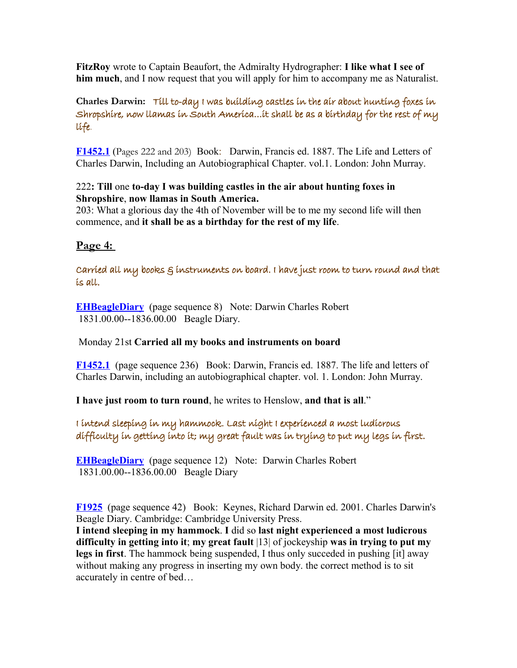**FitzRoy** wrote to Captain Beaufort, the Admiralty Hydrographer: **I like what I see of him much**, and I now request that you will apply for him to accompany me as Naturalist.

**Charles Darwin:** Till to-day I was building castles in the air about hunting foxes in Shropshire, now llamas in South America…it shall be as a birthday for the rest of my life.

**[F1452.1](http://darwin-online.org.uk/content/frameset?viewtype=text&itemID=F1452.1&keywords=be+life+my+rest+as+it+the+birthday+a+of+shall+for&pageseq=203)** (Pages 222 and 203) Book: Darwin, Francis ed. 1887. The Life and Letters of Charles Darwin, Including an Autobiographical Chapter. vol.1. London: John Murray.

#### 222**: Till** one **to-day I was building castles in the air about hunting foxes in Shropshire**, **now llamas in South America.**

203: What a glorious day the 4th of November will be to me my second life will then commence, and **it shall be as a birthday for the rest of my life**.

# **Page 4:**

Carried all my books & instruments on board. I have just room to turn round and that is all.

**[EHBeagleDiary](http://darwin-online.org.uk/content/frameset?viewtype=text&itemID=EHBeagleDiary&keywords=carried+all+my+books&pageseq=8)** (page sequence 8) Note: Darwin Charles Robert 1831.00.00--1836.00.00 Beagle Diary.

## Monday 21st **Carried all my books and instruments on board**

**[F1452.1](http://darwin-online.org.uk/content/frameset?viewtype=text&itemID=F1452.1&keywords=turn+have+all+i+round+that+just+is+to+room+and&pageseq=236)** (page sequence 236) Book: Darwin, Francis ed. 1887. The life and letters of Charles Darwin, including an autobiographical chapter. vol. 1. London: John Murray.

**I have just room to turn round**, he writes to Henslow, **and that is all**."

# I intend sleeping in my hammock. Last night I experienced a most ludicrous difficulty in getting into it; my great fault was in trying to put my legs in first.

**[EHBeagleDiary](http://darwin-online.org.uk/content/frameset?viewtype=text&itemID=EHBeagleDiary&keywords=in+intend+my+i+hammock+sleeping&pageseq=12)** (page sequence 12) Note: Darwin Charles Robert 1831.00.00--1836.00.00 Beagle Diary

**[F1925](http://darwin-online.org.uk/content/frameset?viewtype=text&itemID=F1925&keywords=in+i+experienced+getting+sleeping+trying+difficulty+was+last+first+intend+ludicrous+my+it+hammock+great+a+most+fault+night+legs+to+into+put&pageseq=42)** (page sequence 42) Book: Keynes, Richard Darwin ed. 2001. Charles Darwin's Beagle Diary. Cambridge: Cambridge University Press.

**I intend sleeping in my hammock**. **I** did so **last night experienced a most ludicrous difficulty in getting into it**; **my great fault** |13| of jockeyship **was in trying to put my legs in first**. The hammock being suspended, I thus only succeded in pushing [it] away without making any progress in inserting my own body. the correct method is to sit accurately in centre of bed…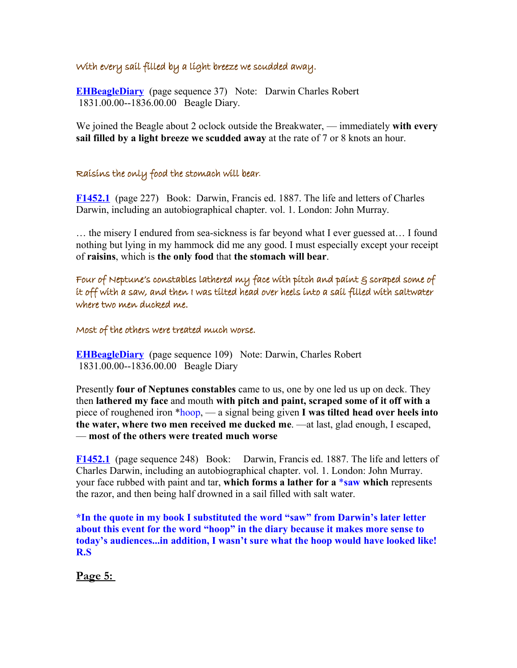#### With every sail filled by a light breeze we scudded away.

**[EHBeagleDiary](http://darwin-online.org.uk/content/frameset?viewtype=text&itemID=EHBeagleDiary&keywords=by+breeze+a+every+sail+with+light+filled&pageseq=37)** (page sequence 37) Note: Darwin Charles Robert 1831.00.00--1836.00.00 Beagle Diary.

We joined the Beagle about 2 oclock outside the Breakwater, — immediately **with every sail filled by a light breeze we scudded away** at the rate of 7 or 8 knots an hour.

#### Raisins the only food the stomach will bear*.*

**[F1452.1](http://darwin-online.org.uk/content/frameset?viewtype=text&itemID=F1452.1&keywords=will+food+the+bear+raisins+only+stomach&pageseq=245)** (page 227) Book: Darwin, Francis ed. 1887. The life and letters of Charles Darwin, including an autobiographical chapter. vol. 1. London: John Murray.

… the misery I endured from sea-sickness is far beyond what I ever guessed at… I found nothing but lying in my hammock did me any good. I must especially except your receipt of **raisins**, which is **the only food** that **the stomach will bear**.

Four of Neptune's constables lathered my face with pitch and paint § scraped some of it off with a saw, and then I was tilted head over heels into a sail filled with saltwater where two men ducked me.

Most of the others were treated much worse.

**[EHBeagleDiary](http://darwin-online.org.uk/content/frameset?viewtype=text&itemID=EHBeagleDiary&keywords=off+it+some+of+scraped&pageseq=109)** (page sequence 109) Note: Darwin, Charles Robert 1831.00.00--1836.00.00 Beagle Diary

Presently **four of Neptunes constables** came to us, one by one led us up on deck. They then **lathered my face** and mouth **with pitch and paint, scraped some of it off with a** piece of roughened iron \*hoop, — a signal being given **I was tilted head over heels into the water, where two men received me ducked me**. —at last, glad enough, I escaped, — **most of the others were treated much worse**

**[F1452.1](http://darwin-online.org.uk/content/frameset?viewtype=text&itemID=F1452.1&keywords=saw+forms+which+a+for+lather&pageseq=248)** (page sequence 248) Book: Darwin, Francis ed. 1887. The life and letters of Charles Darwin, including an autobiographical chapter. vol. 1. London: John Murray. your face rubbed with paint and tar, **which forms a lather for a** \***saw which** represents the razor, and then being half drowned in a sail filled with salt water.

**\*In the quote in my book I substituted the word "saw" from Darwin's later letter about this event for the word "hoop" in the diary because it makes more sense to today's audiences...in addition, I wasn't sure what the hoop would have looked like! R.S**

**Page 5:**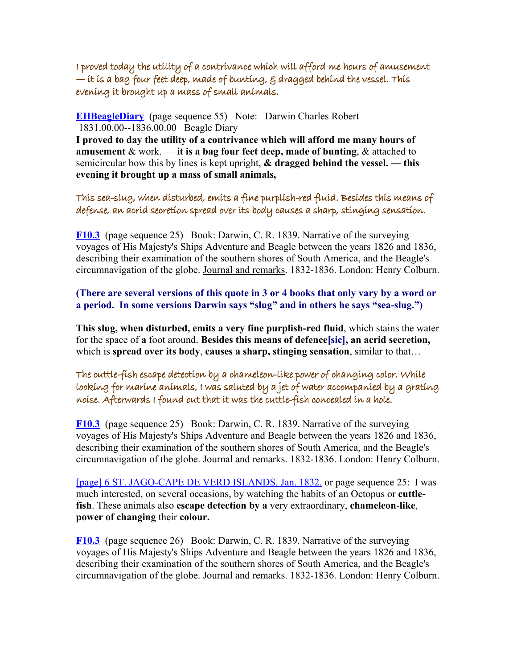I proved today the utility of a contrivance which will afford me hours of amusement  $-$  it is a bag four feet deep, made of bunting,  $\varepsilon$  dragged behind the vessel. This evening it brought up a mass of small animals.

**[EHBeagleDiary](http://darwin-online.org.uk/content/frameset?viewtype=text&itemID=EHBeagleDiary&keywords=afford+contrivance+will+which+a&pageseq=55)** (page sequence 55) Note: Darwin Charles Robert 1831.00.00--1836.00.00 Beagle Diary

**I proved to day the utility of a contrivance which will afford me many hours of amusement** & work. — **it is a bag four feet deep, made of bunting**, & attached to semicircular bow this by lines is kept upright, **& dragged behind the vessel. — this evening it brought up a mass of small animals,**

This sea-slug, when disturbed, emits a fine purplish-red fluid. Besides this means of defense, an acrid secretion spread over its body causes a sharp, stinging sensation.

**[F10.3](http://darwin-online.org.uk/content/frameset?viewtype=text&itemID=F10.3&keywords=when+disturbed+sea+slug&pageseq=25)** (page sequence 25) Book: Darwin, C. R. 1839. Narrative of the surveying voyages of His Majesty's Ships Adventure and Beagle between the years 1826 and 1836, describing their examination of the southern shores of South America, and the Beagle's circumnavigation of the globe. Journal and remarks. 1832-1836. London: Henry Colburn.

**(There are several versions of this quote in 3 or 4 books that only vary by a word or a period. In some versions Darwin says "slug" and in others he says "sea-slug.")**

**This slug, when disturbed, emits a very fine purplish-red fluid**, which stains the water for the space of **a** foot around. **Besides this means of defence[sic], an acrid secretion,** which is **spread over its body**, **causes a sharp, stinging sensation**, similar to that…

The cuttle-fish escape detection by a chameleon-like power of changing color. While looking for marine animals, I was saluted by a jet of water accompanied by a grating noise. Afterwards I found out that it was the cuttle-fish concealed in a hole.

**[F10.3](http://darwin-online.org.uk/content/frameset?viewtype=text&itemID=F10.3&keywords=escape+detection+cuttle+fish&pageseq=26)** (page sequence 25) Book: Darwin, C. R. 1839. Narrative of the surveying voyages of His Majesty's Ships Adventure and Beagle between the years 1826 and 1836, describing their examination of the southern shores of South America, and the Beagle's circumnavigation of the globe. Journal and remarks. 1832-1836. London: Henry Colburn.

[\[page\] 6 ST. JAGO-CAPE DE VERD ISLANDS. Jan. 1832.](http://darwin-online.org.uk/content/frameset?viewtype=side&itemID=F10.3&pageseq=25) or page sequence 25: I was much interested, on several occasions, by watching the habits of an Octopus or **cuttlefish**. These animals also **escape detection by a** very extraordinary, **chameleon**-**like**, **power of changing** their **colour.**

**[F10.3](http://darwin-online.org.uk/content/frameset?viewtype=text&itemID=F10.3&keywords=i+saluted+while+marine+of+for+was+by+looking+accompanied+jet+water+a+animals&pageseq=26)** (page sequence 26) Book: Darwin, C. R. 1839. Narrative of the surveying voyages of His Majesty's Ships Adventure and Beagle between the years 1826 and 1836, describing their examination of the southern shores of South America, and the Beagle's circumnavigation of the globe. Journal and remarks. 1832-1836. London: Henry Colburn.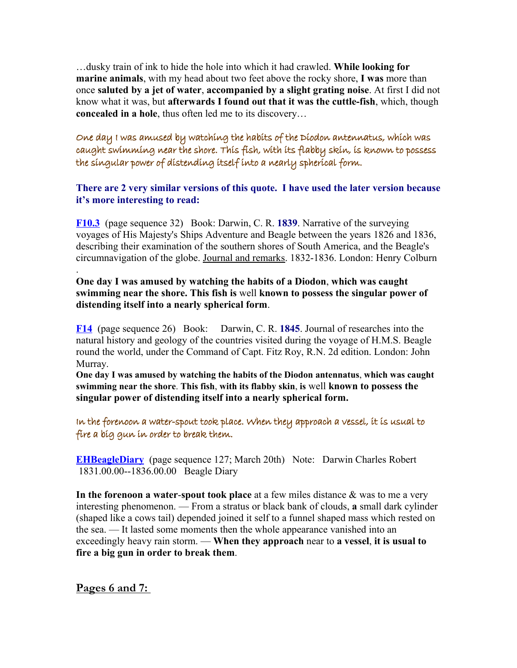…dusky train of ink to hide the hole into which it had crawled. **While looking for marine animals**, with my head about two feet above the rocky shore, **I was** more than once **saluted by a jet of water**, **accompanied by a slight grating noise**. At first I did not know what it was, but **afterwards I found out that it was the cuttle-fish**, which, though **concealed in a hole**, thus often led me to its discovery…

One day I was amused by watching the habits of the Diodon antennatus, which was caught swimming near the shore. This fish, with its flabby skin, is known to possess the singular power of distending itself into a nearly spherical form.

#### **There are 2 very similar versions of this quote. I have used the later version because it's more interesting to read:**

**[F10.3](http://darwin-online.org.uk/content/frameset?viewtype=text&itemID=F10.3&keywords=by+habits+amused+the+watching&pageseq=32)** (page sequence 32) Book: Darwin, C. R. **1839**. Narrative of the surveying voyages of His Majesty's Ships Adventure and Beagle between the years 1826 and 1836, describing their examination of the southern shores of South America, and the Beagle's circumnavigation of the globe. Journal and remarks. 1832-1836. London: Henry Colburn

**One day I was amused by watching the habits of a Diodon**, **which was caught swimming near the shore. This fish is** well **known to possess the singular power of distending itself into a nearly spherical form**.

**[F14](http://darwin-online.org.uk/content/frameset?viewtype=text&itemID=F14&keywords=day+power+i+one+of+this+is+nearly+antennatus+amused+skin+flabby+form+caught+shore+itself+watching+which+spherical+distending+was+by+near+possess+habits+the+swimming+a+known+with+diodon+into+to+its+singular+fish&pageseq=26)** (page sequence 26) Book: Darwin, C. R. **1845**. Journal of researches into the natural history and geology of the countries visited during the voyage of H.M.S. Beagle round the world, under the Command of Capt. Fitz Roy, R.N. 2d edition. London: John Murray.

**One day I was amused by watching the habits of the Diodon antennatus**, **which was caught swimming near the shore**. **This fish**, **with its flabby skin**, **is** well **known to possess the singular power of distending itself into a nearly spherical form.**

In the forenoon a water-spout took place. When they approach a vessel, it is usual to fire a big gun in order to break them.

**[EHBeagleDiary](http://darwin-online.org.uk/content/frameset?viewtype=text&itemID=EHBeagleDiary&keywords=water+a+took+place+spout&pageseq=129)** (page sequence 127; March 20th) Note: Darwin Charles Robert 1831.00.00--1836.00.00 Beagle Diary

**In the forenoon a water**-**spout took place** at a few miles distance & was to me a very interesting phenomenon. — From a stratus or black bank of clouds, **a** small dark cylinder (shaped like a cows tail) depended joined it self to a funnel shaped mass which rested on the sea. — It lasted some moments then the whole appearance vanished into an exceedingly heavy rain storm. — **When they approach** near to **a vessel**, **it is usual to fire a big gun in order to break them**.

**Pages 6 and 7:** 

.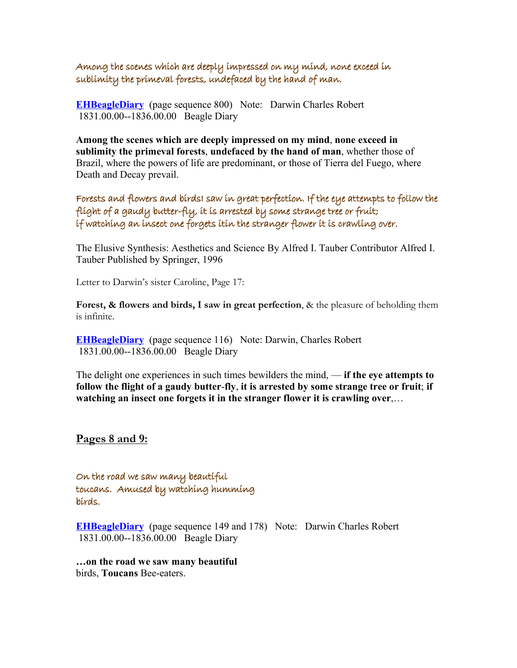Among the scenes which are deeply impressed on my mind, none exceed in sublimity the primeval forests, undefaced by the hand of man.

**[EHBeagleDiary](http://darwin-online.org.uk/content/frameset?viewtype=text&itemID=EHBeagleDiary&keywords=in+the+sublimity+exceed+none+primeval+forests&pageseq=800)** (page sequence 800) Note: Darwin Charles Robert 1831.00.00--1836.00.00 Beagle Diary

**Among the scenes which are deeply impressed on my mind**, **none exceed in sublimity the primeval forests**, **undefaced by the hand of man**, whether those of Brazil, where the powers of life are predominant, or those of Tierra del Fuego, where Death and Decay prevail.

Forests and flowers and birdsI saw in great perfection. If the eye attempts to follow the flight of a gaudy butter-fly, it is arrested by some strange tree or fruit; if watching an insect one forgets itin the stranger flower it is crawling over.

The Elusive Synthesis: Aesthetics and Science By Alfred I. Tauber Contributor Alfred I. Tauber Published by Springer, 1996

Letter to Darwin's sister Caroline, Page 17:

**Forest, & flowers and birds, I saw in great perfection**, & the pleasure of beholding them is infinite.

**[EHBeagleDiary](http://darwin-online.org.uk/content/frameset?viewtype=text&itemID=EHBeagleDiary&keywords=butter+fly+the+a+of+flight+gaudy&pageseq=116)** (page sequence 116) Note: Darwin, Charles Robert 1831.00.00--1836.00.00 Beagle Diary

The delight one experiences in such times bewilders the mind, — **if the eye attempts to follow the flight of a gaudy butter**-**fly**, **it is arrested by some strange tree or fruit**; **if watching an insect one forgets it in the stranger flower it is crawling over**,…

**Pages 8 and 9:**

On the road we saw many beautiful toucans. Amused by watching humming birds.

**[EHBeagleDiary](http://darwin-online.org.uk/content/frameset?viewtype=text&itemID=EHBeagleDiary&keywords=by+amused+humming+watching+birds&pageseq=178)** (page sequence 149 and 178) Note: Darwin Charles Robert 1831.00.00--1836.00.00 Beagle Diary

**…on the road we saw many beautiful** birds, **Toucans** Bee-eaters.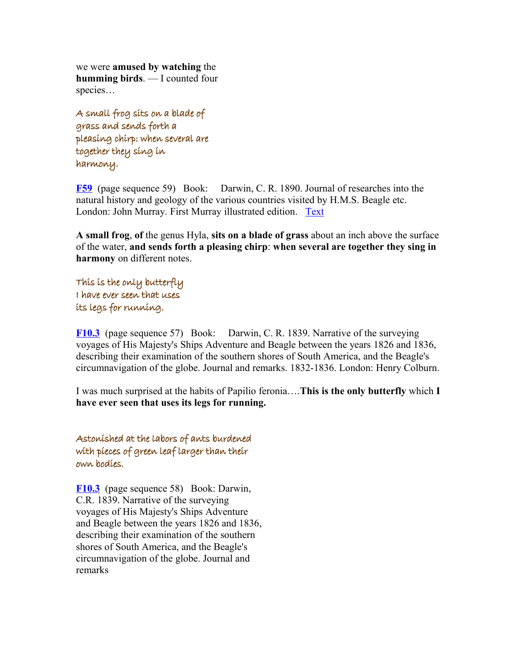we were **amused by watching** the **humming birds**. — I counted four species…

A small frog sits on a blade of grass and sends forth a pleasing chirp: when several are together they sing in harmony.

**[F59](http://darwin-online.org.uk/content/frameset?viewtype=text&itemID=F59&keywords=sits+grass+small+of+pleasing+blade+frog+forth+on+sends+a+chirp+and&pageseq=59)** (page sequence 59) Book: Darwin, C. R. 1890. Journal of researches into the natural history and geology of the various countries visited by H.M.S. Beagle etc. London: John Murray. First Murray illustrated edition. [Text](http://darwin-online.org.uk/content/frameset?viewtype=text&itemID=F59&pageseq=1)

**A small frog**, **of** the genus Hyla, **sits on a blade of grass** about an inch above the surface of the water, **and sends forth a pleasing chirp**: **when several are together they sing in harmony** on different notes.

This is the only butterfly I have ever seen that uses its legs for running.

**[F10.3](http://darwin-online.org.uk/content/frameset?viewtype=text&itemID=F10.3&keywords=have+i+seen+butterfly+that+for+this+is+uses+ever+the+running+legs+only+its&pageseq=57)** (page sequence 57) Book: Darwin, C. R. 1839. Narrative of the surveying voyages of His Majesty's Ships Adventure and Beagle between the years 1826 and 1836, describing their examination of the southern shores of South America, and the Beagle's circumnavigation of the globe. Journal and remarks. 1832-1836. London: Henry Colburn.

I was much surprised at the habits of Papilio feronia….**This is the only butterfly** which **I have ever seen that uses its legs for running.**

Astonished at the labors of ants burdened with pieces of green leaf larger than their own bodies.

**[F10.3](http://darwin-online.org.uk/content/frameset?viewtype=text&itemID=F10.3&keywords=pieces+than+green+their+larger+leaf+of&pageseq=58)** (page sequence 58) Book: Darwin, C.R. 1839. Narrative of the surveying voyages of His Majesty's Ships Adventure and Beagle between the years 1826 and 1836, describing their examination of the southern shores of South America, and the Beagle's circumnavigation of the globe. Journal and remarks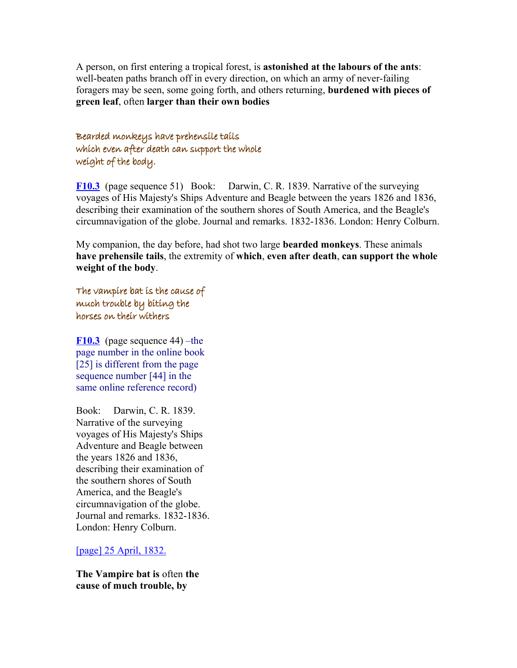A person, on first entering a tropical forest, is **astonished at the labours of the ants**: well-beaten paths branch off in every direction, on which an army of never-failing foragers may be seen, some going forth, and others returning, **burdened with pieces of green leaf**, often **larger than their own bodies**

Bearded monkeys have prehensile tails which even after death can support the whole weight of the body.

**[F10.3](http://darwin-online.org.uk/content/frameset?viewtype=text&itemID=F10.3&keywords=can+of+weight+after+death+the+even+support+whole+body&pageseq=51)** (page sequence 51) Book: Darwin, C. R. 1839. Narrative of the surveying voyages of His Majesty's Ships Adventure and Beagle between the years 1826 and 1836, describing their examination of the southern shores of South America, and the Beagle's circumnavigation of the globe. Journal and remarks. 1832-1836. London: Henry Colburn.

My companion, the day before, had shot two large **bearded monkeys**. These animals **have prehensile tails**, the extremity of **which**, **even after death**, **can support the whole weight of the body**.

The vampire bat is the cause of much trouble by biting the horses on their withers

**[F10.3](http://darwin-online.org.uk/content/frameset?viewtype=text&itemID=F10.3&keywords=bat+much+the+trouble+of+vampire+is+cause&pageseq=44)** (page sequence 44) –the page number in the online book [25] is different from the page sequence number [44] in the same online reference record)

Book: Darwin, C. R. 1839. Narrative of the surveying voyages of His Majesty's Ships Adventure and Beagle between the years 1826 and 1836, describing their examination of the southern shores of South America, and the Beagle's circumnavigation of the globe. Journal and remarks. 1832-1836. London: Henry Colburn.

[\[page\] 25 April, 1832.](http://darwin-online.org.uk/content/frameset?viewtype=side&itemID=F10.3&pageseq=44)

**The Vampire bat is** often **the cause of much trouble, by**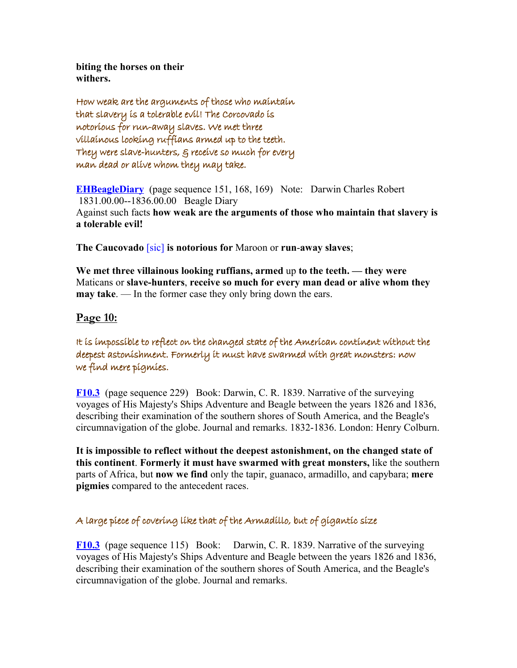**biting the horses on their withers.**

How weak are the arguments of those who maintain that slavery is a tolerable evil! The Corcovado is notorious for run-away slaves. We met three villainous looking ruffians armed up to the teeth. They were slave-hunters, & receive so much for every man dead or alive whom they may take.

**[EHBeagleDiary](http://darwin-online.org.uk/content/frameset?viewtype=text&itemID=EHBeagleDiary&keywords=are+the+arguments+weak+how&pageseq=151)** (page sequence 151, 168, 169) Note: Darwin Charles Robert 1831.00.00--1836.00.00 Beagle Diary Against such facts **how weak are the arguments of those who maintain that slavery is a tolerable evil!**

**The Caucovado** [sic] **is notorious for** Maroon or **run**-**away slaves**;

**We met three villainous looking ruffians, armed** up **to the teeth. — they were** Maticans or **slave-hunters**, **receive so much for every man dead or alive whom they may take**. — In the former case they only bring down the ears.

# **Page 10:**

It is impossible to reflect on the changed state of the American continent without the deepest astonishment. Formerly it must have swarmed with great monsters: now we find mere pigmies.

**[F10.3](http://darwin-online.org.uk/content/frameset?viewtype=text&itemID=F10.3&keywords=reflect+it+to+is+impossible&pageseq=229)** (page sequence 229) Book: Darwin, C. R. 1839. Narrative of the surveying voyages of His Majesty's Ships Adventure and Beagle between the years 1826 and 1836, describing their examination of the southern shores of South America, and the Beagle's circumnavigation of the globe. Journal and remarks. 1832-1836. London: Henry Colburn.

**It is impossible to reflect without the deepest astonishment, on the changed state of this continent**. **Formerly it must have swarmed with great monsters,** like the southern parts of Africa, but **now we find** only the tapir, guanaco, armadillo, and capybara; **mere pigmies** compared to the antecedent races.

## A large piece of covering like that of the Armadillo, but of gigantic size

**[F10.3](http://darwin-online.org.uk/content/frameset?viewtype=text&itemID=F10.3&keywords=large+piece+that+of+like+covering+the+a+armadillo&pageseq=115)** (page sequence 115) Book: Darwin, C. R. 1839. Narrative of the surveying voyages of His Majesty's Ships Adventure and Beagle between the years 1826 and 1836, describing their examination of the southern shores of South America, and the Beagle's circumnavigation of the globe. Journal and remarks.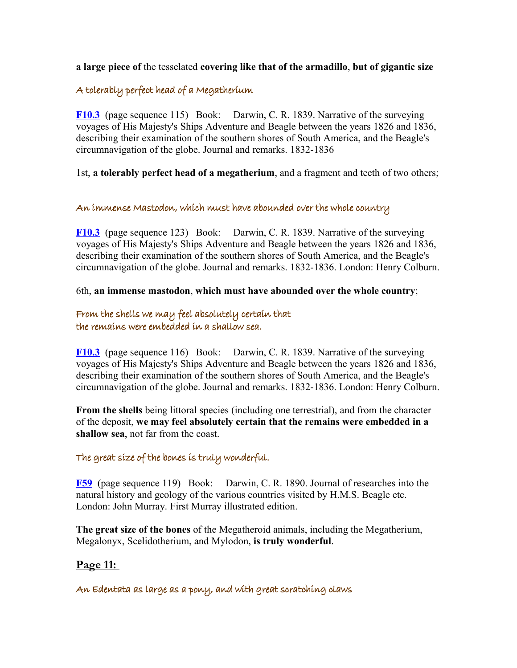**a large piece of** the tesselated **covering like that of the armadillo**, **but of gigantic size**

## A tolerably perfect head of a Megatherium

**[F10.3](http://darwin-online.org.uk/content/frameset?viewtype=text&itemID=F10.3&keywords=perfect+a+tolerably+megatherium+of+head&pageseq=115)** (page sequence 115) Book: Darwin, C. R. 1839. Narrative of the surveying voyages of His Majesty's Ships Adventure and Beagle between the years 1826 and 1836, describing their examination of the southern shores of South America, and the Beagle's circumnavigation of the globe. Journal and remarks. 1832-1836

1st, **a tolerably perfect head of a megatherium**, and a fragment and teeth of two others;

#### An immense Mastodon, which must have abounded over the whole country

**[F10.3](http://darwin-online.org.uk/content/frameset?viewtype=text&itemID=F10.3&keywords=have+which+over+abounded+immense+must+the+country+an+whole+mastodon&pageseq=123)** (page sequence 123) Book: Darwin, C. R. 1839. Narrative of the surveying voyages of His Majesty's Ships Adventure and Beagle between the years 1826 and 1836, describing their examination of the southern shores of South America, and the Beagle's circumnavigation of the globe. Journal and remarks. 1832-1836. London: Henry Colburn.

6th, **an immense mastodon**, **which must have abounded over the whole country**;

## From the shells we may feel absolutely certain that the remains were embedded in a shallow sea.

**[F10.3](http://darwin-online.org.uk/content/frameset?viewtype=text&itemID=F10.3&keywords=in+from+absolutely+embedded+were+feel+that+shells+the+a+sea+remains+shallow+may+certain+we&pageseq=116)** (page sequence 116) Book: Darwin, C. R. 1839. Narrative of the surveying voyages of His Majesty's Ships Adventure and Beagle between the years 1826 and 1836, describing their examination of the southern shores of South America, and the Beagle's circumnavigation of the globe. Journal and remarks. 1832-1836. London: Henry Colburn.

**From the shells** being littoral species (including one terrestrial), and from the character of the deposit, **we may feel absolutely certain that the remains were embedded in a shallow sea**, not far from the coast.

## The great size of the bones is truly wonderful.

**[F59](http://darwin-online.org.uk/content/frameset?viewtype=text&itemID=F59&keywords=size+the+wonderful+great+truly+of+is+bones&pageseq=119)** (page sequence 119) Book: Darwin, C. R. 1890. Journal of researches into the natural history and geology of the various countries visited by H.M.S. Beagle etc. London: John Murray. First Murray illustrated edition.

**The great size of the bones** of the Megatheroid animals, including the Megatherium, Megalonyx, Scelidotherium, and Mylodon, **is truly wonderful**.

# **Page 11:**

An Edentata as large as a pony, and with great scratching claws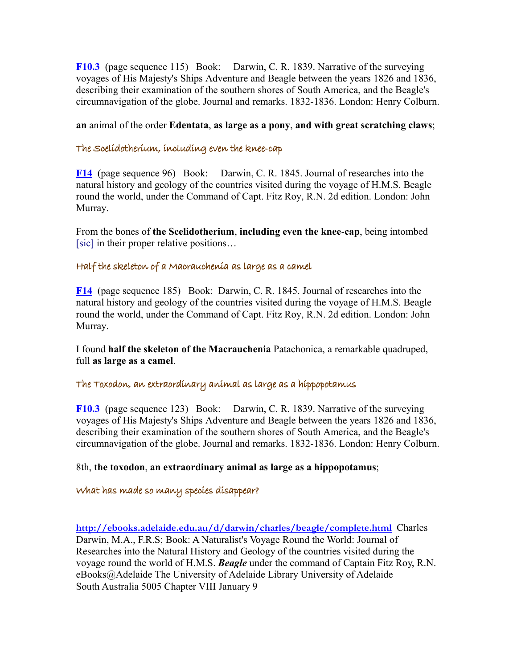**[F10.3](http://darwin-online.org.uk/content/frameset?viewtype=text&itemID=F10.3&keywords=as+large+edentata+pony+a+great+with+claws+scratching+and&pageseq=115)** (page sequence 115) Book: Darwin, C. R. 1839. Narrative of the surveying voyages of His Majesty's Ships Adventure and Beagle between the years 1826 and 1836, describing their examination of the southern shores of South America, and the Beagle's circumnavigation of the globe. Journal and remarks. 1832-1836. London: Henry Colburn.

**an** animal of the order **Edentata**, **as large as a pony**, **and with great scratching claws**;

#### The Scelidotherium, including even the knee-cap

**[F14](http://darwin-online.org.uk/content/frameset?viewtype=text&itemID=F14&keywords=cap+the+even+including+scelidotherium+knee&pageseq=96)** (page sequence 96) Book: Darwin, C. R. 1845. Journal of researches into the natural history and geology of the countries visited during the voyage of H.M.S. Beagle round the world, under the Command of Capt. Fitz Roy, R.N. 2d edition. London: John Murray.

From the bones of **the Scelidotherium**, **including even the knee**-**cap**, being intombed [sic] in their proper relative positions…

#### Half the skeleton of a Macrauchenia as large as a camel

**[F14](http://darwin-online.org.uk/content/frameset?viewtype=text&itemID=F14&keywords=macrauchenia+half+as+large+skeleton+of+the+a+camel&pageseq=185)** (page sequence 185) Book: Darwin, C. R. 1845. Journal of researches into the natural history and geology of the countries visited during the voyage of H.M.S. Beagle round the world, under the Command of Capt. Fitz Roy, R.N. 2d edition. London: John Murray.

I found **half the skeleton of the Macrauchenia** Patachonica, a remarkable quadruped, full **as large as a camel**.

#### The Toxodon, an extraordinary animal as large as a hippopotamus

**[F10.3](http://darwin-online.org.uk/content/frameset?viewtype=text&itemID=F10.3&keywords=as+large+toxodon+hippopotamus+extraordinary+the+animal+a+an&pageseq=123)** (page sequence 123) Book: Darwin, C. R. 1839. Narrative of the surveying voyages of His Majesty's Ships Adventure and Beagle between the years 1826 and 1836, describing their examination of the southern shores of South America, and the Beagle's circumnavigation of the globe. Journal and remarks. 1832-1836. London: Henry Colburn.

#### 8th, **the toxodon**, **an extraordinary animal as large as a hippopotamus**;

#### What has made so many species disappear?

**<http://ebooks.adelaide.edu.au/d/darwin/charles/beagle/complete.html>** Charles Darwin, M.A., F.R.S; Book: A Naturalist's Voyage Round the World: Journal of Researches into the Natural History and Geology of the countries visited during the voyage round the world of H.M.S. *Beagle* under the command of Captain Fitz Roy, R.N. eBooks@Adelaide The University of Adelaide Library University of Adelaide South Australia 5005 Chapter VIII January 9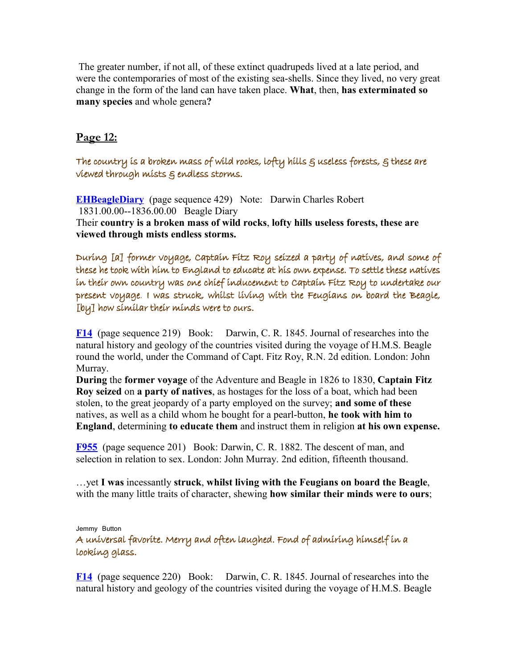The greater number, if not all, of these extinct quadrupeds lived at a late period, and were the contemporaries of most of the existing sea-shells. Since they lived, no very great change in the form of the land can have taken place. **What**, then, **has exterminated so many species** and whole genera**?**

# **Page 12:**

The country is a broken mass of wild rocks, lofty hills  $g$  useless forests,  $g$  these are viewed through mists & endless storms.

**[EHBeagleDiary](http://darwin-online.org.uk/content/frameset?viewtype=text&itemID=EHBeagleDiary&keywords=wild+of+is+broken+the+country+a+rocks+mass&pageseq=429)** (page sequence 429) Note: Darwin Charles Robert 1831.00.00--1836.00.00 Beagle Diary Their **country is a broken mass of wild rocks**, **lofty hills useless forests, these are viewed through mists endless storms.**

During [a] former voyage, Captain Fitz Roy seized a party of natives, and some of these he took with him to England to educate at his own expense. To settle these natives in their own country was one chief inducement to Captain Fitz Roy to undertake our present voyage. I was struck, whilst living with the Feugians on board the Beagle, [by] how similar their minds were to ours.

**[F14](http://darwin-online.org.uk/content/frameset?viewtype=text&itemID=F14&keywords=seized+fitz+natives+roy+a+of+party+captain&pageseq=219)** (page sequence 219) Book: Darwin, C. R. 1845. Journal of researches into the natural history and geology of the countries visited during the voyage of H.M.S. Beagle round the world, under the Command of Capt. Fitz Roy, R.N. 2d edition. London: John Murray.

**During** the **former voyage** of the Adventure and Beagle in 1826 to 1830, **Captain Fitz Roy seized** on **a party of natives**, as hostages for the loss of a boat, which had been stolen, to the great jeopardy of a party employed on the survey; **and some of these** natives, as well as a child whom he bought for a pearl-button, **he took with him to England**, determining **to educate them** and instruct them in religion **at his own expense.**

**[F955](http://darwin-online.org.uk/content/frameset?viewtype=text&itemID=F955&keywords=whilst+struck+i+the+feugians+with+living+was&pageseq=201)** (page sequence 201) Book: Darwin, C. R. 1882. The descent of man, and selection in relation to sex. London: John Murray. 2nd edition, fifteenth thousand.

…yet **I was** incessantly **struck**, **whilst living with the Feugians on board the Beagle**, with the many little traits of character, shewing **how similar their minds were to ours**;

Jemmy Button

A universal favorite. Merry and often laughed. Fond of admiring himself in a looking glass.

**[F14](http://darwin-online.org.uk/content/frameset?viewtype=text&itemID=F14&keywords=in+looking+himself+a+admiring+of+glass+fond&pageseq=220)** (page sequence 220) Book: Darwin, C. R. 1845. Journal of researches into the natural history and geology of the countries visited during the voyage of H.M.S. Beagle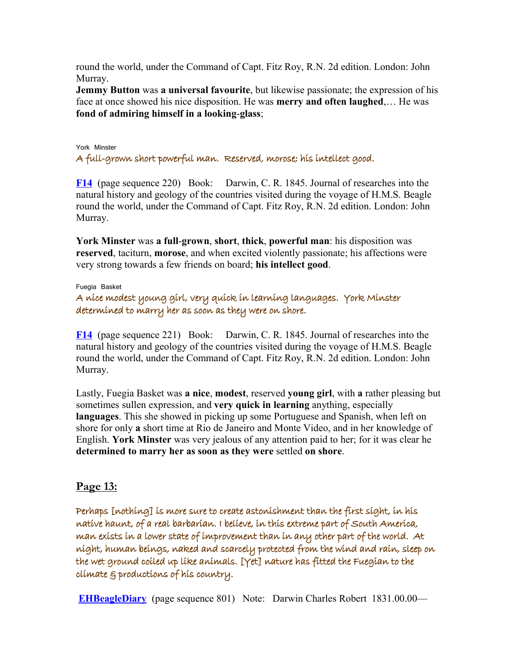round the world, under the Command of Capt. Fitz Roy, R.N. 2d edition. London: John Murray.

**Jemmy Button** was **a universal favourite**, but likewise passionate; the expression of his face at once showed his nice disposition. He was **merry and often laughed**,… He was **fond of admiring himself in a looking**-**glass**;

#### York Minster A full-grown short powerful man. Reserved, morose; his intellect good.

**[F14](http://darwin-online.org.uk/content/frameset?viewtype=text&itemID=F14&keywords=his+good+grown+powerful+morose+reserved+full+a+short+man+intellect&pageseq=220)** (page sequence 220) Book: Darwin, C. R. 1845. Journal of researches into the natural history and geology of the countries visited during the voyage of H.M.S. Beagle round the world, under the Command of Capt. Fitz Roy, R.N. 2d edition. London: John Murray.

**York Minster** was **a full**-**grown**, **short**, **thick**, **powerful man**: his disposition was **reserved**, taciturn, **morose**, and when excited violently passionate; his affections were very strong towards a few friends on board; **his intellect good**.

Fuegia Basket

A nice modest young girl, very quick in learning languages. York Minster determined to marry her as soon as they were on shore.

**[F14](http://darwin-online.org.uk/content/frameset?viewtype=text&itemID=F14&keywords=in+minster+determined+very+york+marry+languages+quick+her+learning+to&pageseq=221)** (page sequence 221) Book: Darwin, C. R. 1845. Journal of researches into the natural history and geology of the countries visited during the voyage of H.M.S. Beagle round the world, under the Command of Capt. Fitz Roy, R.N. 2d edition. London: John Murray.

Lastly, Fuegia Basket was **a nice**, **modest**, reserved **young girl**, with **a** rather pleasing but sometimes sullen expression, and **very quick in learning** anything, especially **languages**. This she showed in picking up some Portuguese and Spanish, when left on shore for only **a** short time at Rio de Janeiro and Monte Video, and in her knowledge of English. **York Minster** was very jealous of any attention paid to her; for it was clear he **determined to marry her as soon as they were** settled **on shore**.

## **Page 13:**

Perhaps [nothing] is more sure to create astonishment than the first sight, in his native haunt, of a real barbarian. I believe, in this extreme part of South America, man exists in a lower state of improvement than in any other part of the world. At night, human beings, naked and scarcely protected from the wind and rain, sleep on the wet ground coiled up like animals. [Yet] nature has fitted the Fuegian to the climate & productions of his country.

**[EHBeagleDiary](http://darwin-online.org.uk/content/frameset?viewtype=text&itemID=EHBeagleDiary&keywords=real+a+barbarian&pageseq=801)** (page sequence 801) Note: Darwin Charles Robert 1831.00.00—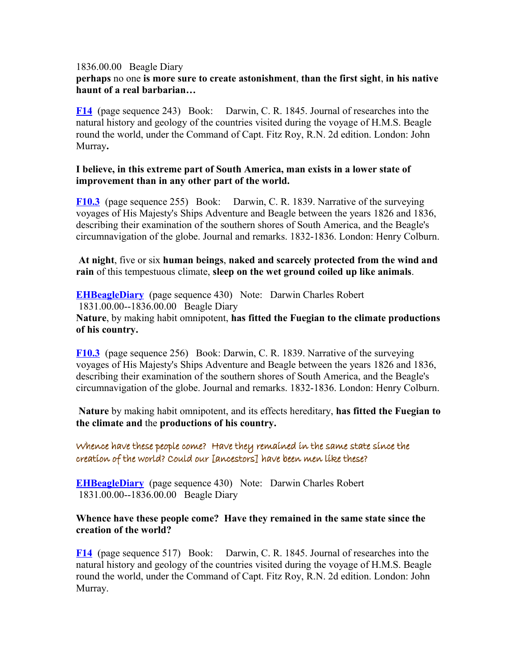#### 1836.00.00 Beagle Diary

## **perhaps** no one **is more sure to create astonishment**, **than the first sight**, **in his native haunt of a real barbarian…**

**[F14](http://darwin-online.org.uk/content/frameset?viewtype=text&itemID=F14&keywords=in+improvement+than+part+state+of+world+exists+any+other+the+a+man+lower&pageseq=243)** (page sequence 243) Book: Darwin, C. R. 1845. Journal of researches into the natural history and geology of the countries visited during the voyage of H.M.S. Beagle round the world, under the Command of Capt. Fitz Roy, R.N. 2d edition. London: John Murray**.** 

#### **I believe, in this extreme part of South America, man exists in a lower state of improvement than in any other part of the world.**

**[F10.3](http://darwin-online.org.uk/content/frameset?viewtype=text&itemID=F10.3&keywords=from+coiled+scarcely+human+protected+at+like+rain+wind+beings+wet+naked+on+the+sleep+up+ground+night+animals+and&pageseq=255)** (page sequence 255) Book: Darwin, C. R. 1839. Narrative of the surveying voyages of His Majesty's Ships Adventure and Beagle between the years 1826 and 1836, describing their examination of the southern shores of South America, and the Beagle's circumnavigation of the globe. Journal and remarks. 1832-1836. London: Henry Colburn.

**At night**, five or six **human beings**, **naked and scarcely protected from the wind and rain** of this tempestuous climate, **sleep on the wet ground coiled up like animals**.

**[EHBeagleDiary](http://darwin-online.org.uk/content/frameset?viewtype=text&itemID=EHBeagleDiary&keywords=fuegian+climate+the+fitted+nature+has+to&pageseq=430)** (page sequence 430) Note: Darwin Charles Robert 1831.00.00--1836.00.00 Beagle Diary **Nature**, by making habit omnipotent, **has fitted the Fuegian to the climate productions of his country.**

**[F10.3](http://darwin-online.org.uk/content/frameset?viewtype=text&itemID=F10.3&keywords=fuegian+climate+the+fitted+nature+has+to&pageseq=256)** (page sequence 256) Book: Darwin, C. R. 1839. Narrative of the surveying voyages of His Majesty's Ships Adventure and Beagle between the years 1826 and 1836, describing their examination of the southern shores of South America, and the Beagle's circumnavigation of the globe. Journal and remarks. 1832-1836. London: Henry Colburn.

**Nature** by making habit omnipotent, and its effects hereditary, **has fitted the Fuegian to the climate and** the **productions of his country.**

Whence have these people come? Have they remained in the same state since the creation of the world? Could our [ancestors] have been men like these?

**[EHBeagleDiary](http://darwin-online.org.uk/content/frameset?viewtype=text&itemID=EHBeagleDiary&keywords=in+have+they+the+state+same+remained&pageseq=430)** (page sequence 430) Note: Darwin Charles Robert 1831.00.00--1836.00.00 Beagle Diary

#### **Whence have these people come? Have they remained in the same state since the creation of the world?**

**[F14](http://darwin-online.org.uk/content/frameset?viewtype=text&itemID=F14&keywords=men+have+progenitors+been+could+our+these+like&pageseq=517)** (page sequence 517) Book: Darwin, C. R. 1845. Journal of researches into the natural history and geology of the countries visited during the voyage of H.M.S. Beagle round the world, under the Command of Capt. Fitz Roy, R.N. 2d edition. London: John Murray.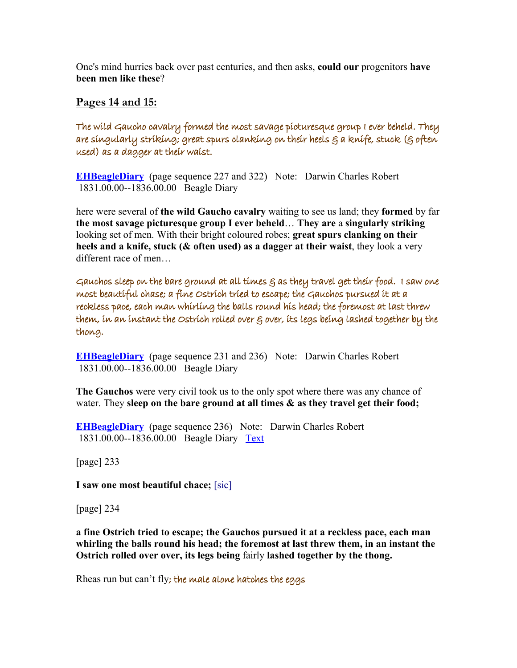One's mind hurries back over past centuries, and then asks, **could our** progenitors **have been men like these**?

## **Pages 14 and 15:**

The wild Gaucho cavalry formed the most savage picturesque group I ever beheld. They are singularly striking; great spurs clanking on their heels & a knife, stuck (§ often used) as a dagger at their waist.

**[EHBeagleDiary](http://darwin-online.org.uk/content/frameset?viewtype=text&itemID=EHBeagleDiary&keywords=gaucho+wild+cavalry+the+most+formed+savage&pageseq=227)** (page sequence 227 and 322) Note: Darwin Charles Robert 1831.00.00--1836.00.00 Beagle Diary

here were several of **the wild Gaucho cavalry** waiting to see us land; they **formed** by far **the most savage picturesque group I ever beheld**… **They are** a **singularly striking** looking set of men. With their bright coloured robes; **great spurs clanking on their heels and a knife, stuck (& often used) as a dagger at their waist**, they look a very different race of men…

Gauchos sleep on the bare ground at all times  $\varepsilon$  as they travel get their food. I saw one most beautiful chase; a fine Ostrich tried to escape; the Gauchos pursued it at a reckless pace, each man whirling the balls round his head; the foremost at last threw them, in an instant the Ostrich rolled over & over, its legs being lashed together by the thong.

**[EHBeagleDiary](http://darwin-online.org.uk/content/frameset?viewtype=text&itemID=EHBeagleDiary&keywords=get+they+as+at+travel+all+bare+their+food+on+the+sleep+ground+gauchos+times&pageseq=231)** (page sequence 231 and 236) Note: Darwin Charles Robert 1831.00.00--1836.00.00 Beagle Diary

**The Gauchos** were very civil took us to the only spot where there was any chance of water. They **sleep on the bare ground at all times & as they travel get their food;**

**[EHBeagleDiary](http://darwin-online.org.uk/content/frameset?viewtype=text&itemID=EHBeagleDiary&keywords=the+them+foremost+threw+at+last&pageseq=236)** (page sequence 236) Note: Darwin Charles Robert 1831.00.00--1836.00.00 Beagle Diary [Text](http://darwin-online.org.uk/content/frameset?viewtype=text&itemID=EHBeagleDiary&pageseq=1)

[page] 233

**I saw one most beautiful chace;** [sic]

[page] 234

**a fine Ostrich tried to escape; the Gauchos pursued it at a reckless pace, each man whirling the balls round his head; the foremost at last threw them, in an instant the Ostrich rolled over over, its legs being** fairly **lashed together by the thong.**

Rheas run but can't fly; the male alone hatches the eggs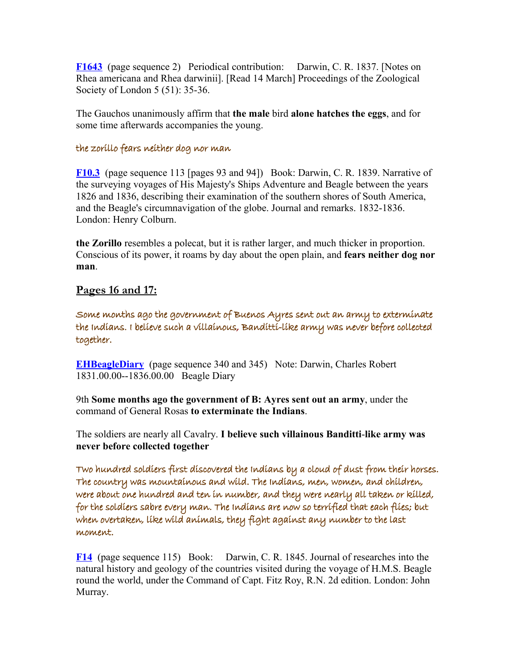**[F1643](http://darwin-online.org.uk/content/frameset?viewtype=text&itemID=F1643&keywords=male+eggs+the+hatches+alone&pageseq=2)** (page sequence 2) Periodical contribution: Darwin, C. R. 1837. [Notes on Rhea americana and Rhea darwinii]. [Read 14 March] Proceedings of the Zoological Society of London 5 (51): 35-36.

The Gauchos unanimously affirm that **the male** bird **alone hatches the eggs**, and for some time afterwards accompanies the young.

#### the zorillo fears neither dog nor man

**[F10.3](http://darwin-online.org.uk/content/frameset?viewtype=text&itemID=F10.3&keywords=neither+fears+dog+the+man+nor+zorillo&pageseq=113)** (page sequence 113 [pages 93 and 94]) Book: Darwin, C. R. 1839. Narrative of the surveying voyages of His Majesty's Ships Adventure and Beagle between the years 1826 and 1836, describing their examination of the southern shores of South America, and the Beagle's circumnavigation of the globe. Journal and remarks. 1832-1836. London: Henry Colburn.

**the Zorillo** resembles a polecat, but it is rather larger, and much thicker in proportion. Conscious of its power, it roams by day about the open plain, and **fears neither dog nor man**.

## **Pages 16 and 17:**

Some months ago the government of Buenos Ayres sent out an army to exterminate the Indians. I believe such a villainous, Banditti-like army was never before collected together.

**[EHBeagleDiary](http://darwin-online.org.uk/content/frameset?viewtype=text&itemID=EHBeagleDiary&keywords=villainous+believe+such+a&pageseq=345)** (page sequence 340 and 345) Note: Darwin, Charles Robert 1831.00.00--1836.00.00 Beagle Diary

9th **Some months ago the government of B: Ayres sent out an army**, under the command of General Rosas **to exterminate the Indians**.

The soldiers are nearly all Cavalry. **I believe such villainous Banditti**-**like army was never before collected together**

Two hundred soldiers first discovered the Indians by a cloud of dust from their horses. The country was mountainous and wild. The Indians, men, women, and children, were about one hundred and ten in number, and they were nearly all taken or killed, for the soldiers sabre every man. The Indians are now so terrified that each flies; but when overtaken, like wild animals, they fight against any number to the last moment.

**[F14](http://darwin-online.org.uk/content/frameset?viewtype=text&itemID=F14&keywords=discovered+in+terrified+were+of+against+first+any+horses+all+moment+country+animals+and+when+taken+they+like+for+by+dust+about+cloud+their+the+a+man+to+are+wild+killed+from+overtaken+sabre+one+now+that+but+last+two+nearly+men+soldiers+or+ten+number+flies+hundred+mountainous+women+every+each+was+fight+so+children+indians&pageseq=115)** (page sequence 115) Book: Darwin, C. R. 1845. Journal of researches into the natural history and geology of the countries visited during the voyage of H.M.S. Beagle round the world, under the Command of Capt. Fitz Roy, R.N. 2d edition. London: John Murray.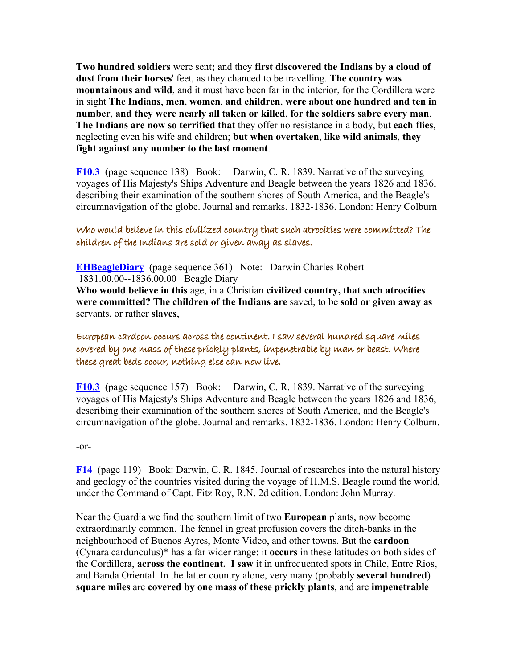**Two hundred soldiers** were sent**;** and they **first discovered the Indians by a cloud of dust from their horses**' feet, as they chanced to be travelling. **The country was mountainous and wild**, and it must have been far in the interior, for the Cordillera were in sight **The Indians**, **men**, **women**, **and children**, **were about one hundred and ten in number**, **and they were nearly all taken or killed**, **for the soldiers sabre every man**. **The Indians are now so terrified that** they offer no resistance in a body, but **each flies**, neglecting even his wife and children; **but when overtaken**, **like wild animals**, **they fight against any number to the last moment**.

**[F10.3](http://darwin-online.org.uk/content/frameset?viewtype=text&itemID=F10.3&keywords=discovered+of+first+by+dust+soldiers+cloud+a+indians&pageseq=138)** (page sequence 138) Book: Darwin, C. R. 1839. Narrative of the surveying voyages of His Majesty's Ships Adventure and Beagle between the years 1826 and 1836, describing their examination of the southern shores of South America, and the Beagle's circumnavigation of the globe. Journal and remarks. 1832-1836. London: Henry Colburn

## Who would believe in this civilized country that such atrocities were committed? The children of the Indians are sold or given away as slaves.

**[EHBeagleDiary](http://darwin-online.org.uk/content/frameset?viewtype=text&itemID=EHBeagleDiary&keywords=in+believe+who+would+country+civilized+this&pageseq=361)** (page sequence 361) Note: Darwin Charles Robert 1831.00.00--1836.00.00 Beagle Diary **Who would believe in this** age, in a Christian **civilized country, that such atrocities**

**were committed? The children of the Indians are** saved, to be **sold or given away as** servants, or rather **slaves**,

## European cardoon occurs across the continent. I saw several hundred square miles covered by one mass of these prickly plants, impenetrable by man or beast. Where these great beds occur, nothing else can now live.

**[F10.3](http://darwin-online.org.uk/content/frameset?viewtype=text&itemID=F10.3&keywords=european+across+the+occurs+continent+cardoon&pageseq=157)** (page sequence 157) Book: Darwin, C. R. 1839. Narrative of the surveying voyages of His Majesty's Ships Adventure and Beagle between the years 1826 and 1836, describing their examination of the southern shores of South America, and the Beagle's circumnavigation of the globe. Journal and remarks. 1832-1836. London: Henry Colburn.

-or-

**[F14](http://darwin-online.org.uk/content/frameset?viewtype=text&itemID=F14&keywords=european+across+the+occurs+continent+cardoon&pageseq=132)** (page 119) Book: Darwin, C. R. 1845. Journal of researches into the natural history and geology of the countries visited during the voyage of H.M.S. Beagle round the world, under the Command of Capt. Fitz Roy, R.N. 2d edition. London: John Murray.

Near the Guardia we find the southern limit of two **European** plants, now become extraordinarily common. The fennel in great profusion covers the ditch-banks in the neighbourhood of Buenos Ayres, Monte Video, and other towns. But the **cardoon** (Cynara cardunculus)\* has a far wider range: it **occurs** in these latitudes on both sides of the Cordillera, **across the continent. I saw** it in unfrequented spots in Chile, Entre Rios, and Banda Oriental. In the latter country alone, very many (probably **several hundred**) **square miles** are **covered by one mass of these prickly plants**, and are **impenetrable**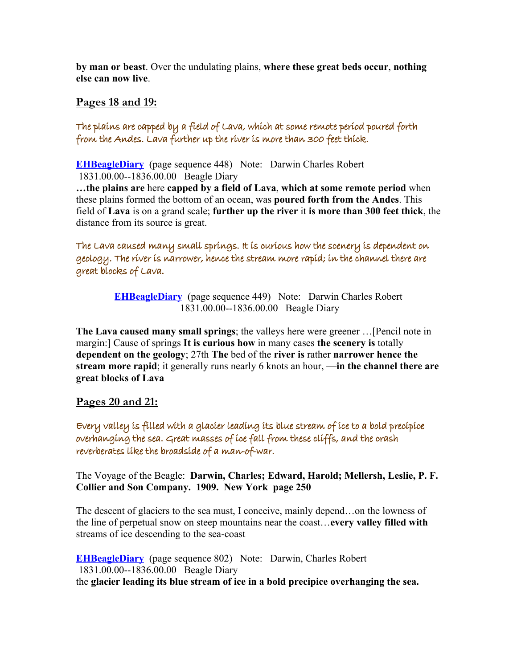**by man or beast**. Over the undulating plains, **where these great beds occur**, **nothing else can now live**.

## **Pages 18 and 19:**

The plains are capped by a field of Lava, which at some remote period poured forth from the Andes. Lava further up the river is more than 300 feet thick.

**[EHBeagleDiary](http://darwin-online.org.uk/content/frameset?viewtype=text&itemID=EHBeagleDiary&keywords=by+are+lava+field+a+capped+plains+of&pageseq=448)** (page sequence 448) Note: Darwin Charles Robert 1831.00.00--1836.00.00 Beagle Diary

**…the plains are** here **capped by a field of Lava**, **which at some remote period** when these plains formed the bottom of an ocean, was **poured forth from the Andes**. This field of **Lava** is on a grand scale; **further up the river** it **is more than 300 feet thick**, the distance from its source is great.

The Lava caused many small springs. It is curious how the scenery is dependent on geology. The river is narrower, hence the stream more rapid; in the channel there are great blocks of Lava.

> **[EHBeagleDiary](http://darwin-online.org.uk/content/frameset?viewtype=text&itemID=EHBeagleDiary&keywords=springs+lava+small+the+many+caused&pageseq=449)** (page sequence 449) Note: Darwin Charles Robert 1831.00.00--1836.00.00 Beagle Diary

**The Lava caused many small springs**; the valleys here were greener …[Pencil note in margin:] Cause of springs **It is curious how** in many cases **the scenery is** totally **dependent on the geology**; 27th **The** bed of the **river is** rather **narrower hence the stream more rapid**; it generally runs nearly 6 knots an hour, —**in the channel there are great blocks of Lava**

# **Pages 20 and 21:**

Every valley is filled with a glacier leading its blue stream of ice to a bold precipice overhanging the sea. Great masses of ice fall from these cliffs, and the crash reverberates like the broadside of a man-of-war.

The Voyage of the Beagle: **Darwin, Charles; Edward, Harold; Mellersh, Leslie, P. F. Collier and Son Company. 1909. New York page 250** 

The descent of glaciers to the sea must, I conceive, mainly depend…on the lowness of the line of perpetual snow on steep mountains near the coast…**every valley filled with** streams of ice descending to the sea-coast

**[EHBeagleDiary](http://darwin-online.org.uk/content/frameset?viewtype=text&itemID=EHBeagleDiary&keywords=bold+stream+precipice+of+blue+a+ice+leading+to+its+glacier&pageseq=802)** (page sequence 802) Note: Darwin, Charles Robert 1831.00.00--1836.00.00 Beagle Diary the **glacier leading its blue stream of ice in a bold precipice overhanging the sea.**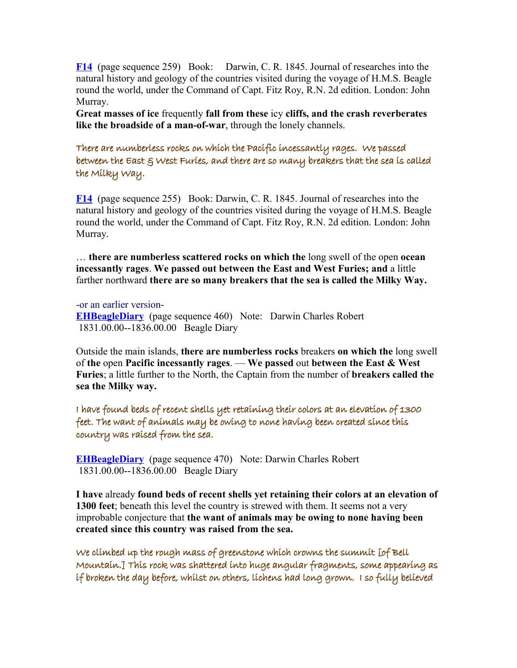**[F14](http://darwin-online.org.uk/content/frameset?viewtype=text&itemID=F14&keywords=cliffs+from+these+ice+great+of+masses+fall&pageseq=259)** (page sequence 259) Book: Darwin, C. R. 1845. Journal of researches into the natural history and geology of the countries visited during the voyage of H.M.S. Beagle round the world, under the Command of Capt. Fitz Roy, R.N. 2d edition. London: John Murray.

**Great masses of ice** frequently **fall from these** icy **cliffs, and the crash reverberates like the broadside of a man-of-war**, through the lonely channels.

There are numberless rocks on which the Pacific incessantly rages. We passed between the East & West Furies, and there are so many breakers that the sea is called the Milky Way.

**[F14](http://darwin-online.org.uk/content/frameset?viewtype=text&itemID=F14&keywords=incessantly+are+numberless+which+the+on+rages+rocks+pacific+there&pageseq=255)** (page sequence 255) Book: Darwin, C. R. 1845. Journal of researches into the natural history and geology of the countries visited during the voyage of H.M.S. Beagle round the world, under the Command of Capt. Fitz Roy, R.N. 2d edition. London: John Murray.

… **there are numberless scattered rocks on which the** long swell of the open **ocean incessantly rages**. **We passed out between the East and West Furies; and** a little farther northward **there are so many breakers that the sea is called the Milky Way.** 

-or an earlier version-**[EHBeagleDiary](http://darwin-online.org.uk/content/frameset?viewtype=text&itemID=EHBeagleDiary&keywords=incessantly+numberless+which+the+on+rages+rocks+pacific&pageseq=460)** (page sequence 460) Note: Darwin Charles Robert 1831.00.00--1836.00.00 Beagle Diary

Outside the main islands, **there are numberless rocks** breakers **on which the** long swell of **the** open **Pacific incessantly rages**. — **We passed** out **between the East & West Furies**; a little further to the North, the Captain from the number of **breakers called the sea the Milky way.**

I have found beds of recent shells yet retaining their colors at an elevation of 1300 feet. The want of animals may be owing to none having been created since this country was raised from the sea.

**[EHBeagleDiary](http://darwin-online.org.uk/content/frameset?viewtype=text&itemID=EHBeagleDiary&keywords=recent+1300+yet+colors+at+of+beds+feet+shells+their+an+elevation+retaining&pageseq=470)** (page sequence 470) Note: Darwin Charles Robert 1831.00.00--1836.00.00 Beagle Diary

**I have** already **found beds of recent shells yet retaining their colors at an elevation of 1300 feet**; beneath this level the country is strewed with them. It seems not a very improbable conjecture that **the want of animals may be owing to none having been created since this country was raised from the sea.**

We climbed up the rough mass of greenstone which crowns the summit [of Bell Mountain.] This rock was shattered into huge angular fragments, some appearing as if broken the day before, whilst on others, lichens had long grown. I so fully believed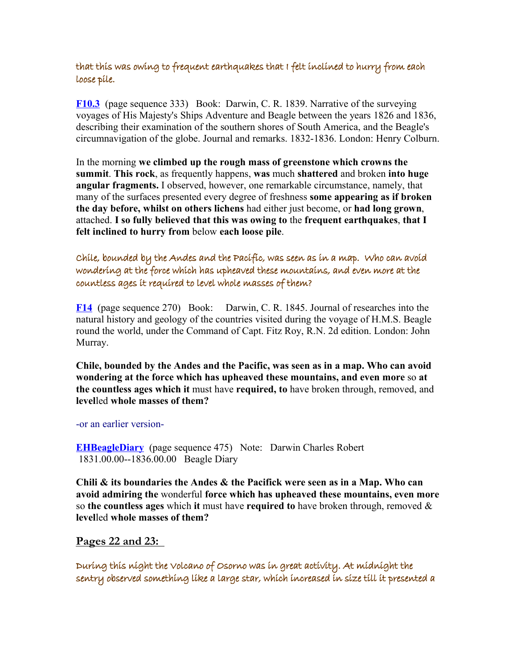# that this was owing to frequent earthquakes that I felt inclined to hurry from each loose pile.

**[F10.3](http://darwin-online.org.uk/content/frameset?viewtype=text&itemID=F10.3&keywords=which+rough+of+greenstone+climbed+the+up+crowns+summit+mass&pageseq=332)** (page sequence 333) Book: Darwin, C. R. 1839. Narrative of the surveying voyages of His Majesty's Ships Adventure and Beagle between the years 1826 and 1836, describing their examination of the southern shores of South America, and the Beagle's circumnavigation of the globe. Journal and remarks. 1832-1836. London: Henry Colburn.

In the morning **we climbed up the rough mass of greenstone which crowns the summit**. **This rock**, as frequently happens, **was** much **shattered** and broken **into huge angular fragments.** I observed, however, one remarkable circumstance, namely, that many of the surfaces presented every degree of freshness **some appearing as if broken the day before, whilst on others lichens** had either just become, or **had long grown**, attached. **I so fully believed that this was owing to** the **frequent earthquakes**, **that I felt inclined to hurry from** below **each loose pile**.

Chile, bounded by the Andes and the Pacific, was seen as in a map. Who can avoid wondering at the force which has upheaved these mountains, and even more at the countless ages it required to level whole masses of them?

**[F14](http://darwin-online.org.uk/content/frameset?viewtype=text&itemID=F14&keywords=force+which+upheaved+wondering+who+the+can+these+has+at+avoid+mountains&pageseq=270)** (page sequence 270) Book: Darwin, C. R. 1845. Journal of researches into the natural history and geology of the countries visited during the voyage of H.M.S. Beagle round the world, under the Command of Capt. Fitz Roy, R.N. 2d edition. London: John Murray.

**Chile, bounded by the Andes and the Pacific, was seen as in a map. Who can avoid wondering at the force which has upheaved these mountains, and even more** so **at the countless ages which it** must have **required, to** have broken through, removed, and **level**led **whole masses of them?**

-or an earlier version-

**[EHBeagleDiary](http://darwin-online.org.uk/content/frameset?viewtype=text&itemID=EHBeagleDiary&keywords=ages+it+countless+them+level+of+masses+to+whole+required&pageseq=475)** (page sequence 475) Note: Darwin Charles Robert 1831.00.00--1836.00.00 Beagle Diary

**Chili & its boundaries the Andes & the Pacifick were seen as in a Map. Who can avoid admiring the** wonderful **force which has upheaved these mountains, even more** so **the countless ages** which **it** must have **required to** have broken through, removed & **level**led **whole masses of them?**

 **Pages 22 and 23:** 

During this night the Volcano of Osorno was in great activity. At midnight the sentry observed something like a large star, which increased in size till it presented a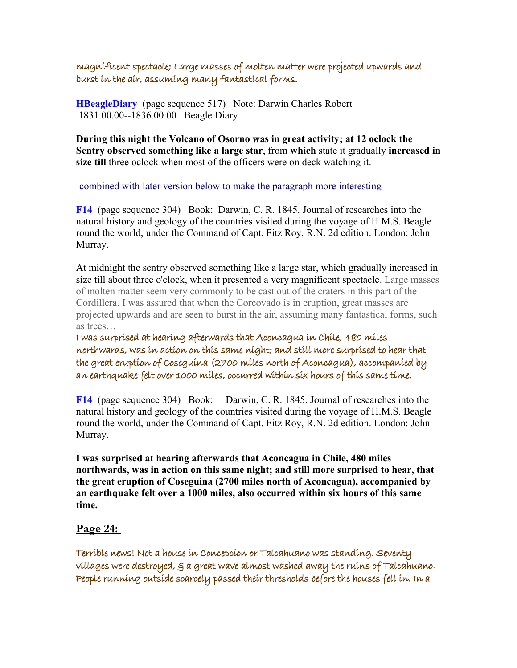magnificent spectacle; Large masses of molten matter were projected upwards and burst in the air, assuming many fantastical forms.

**[HBeagleDiary](http://darwin-online.org.uk/content/frameset?viewtype=text&itemID=EHBeagleDiary&keywords=in+during+volcano+the+activity+great+osorno+of+night+this+was&pageseq=517)** (page sequence 517) Note: Darwin Charles Robert 1831.00.00--1836.00.00 Beagle Diary

**During this night the Volcano of Osorno was in great activity; at 12 oclock the Sentry observed something like a large star**, from **which** state it gradually **increased in size till** three oclock when most of the officers were on deck watching it.

-combined with later version below to make the paragraph more interesting-

**[F14](http://darwin-online.org.uk/content/frameset?viewtype=text&itemID=F14&keywords=in+magnificent+matter+were+spectacle+masses+of+fantastical+burst+increased+star+projected+till+and+which+large+like+assuming+molten+forms+something+size+it+the+many+a+presented+upwards+air&pageseq=304)** (page sequence 304) Book: Darwin, C. R. 1845. Journal of researches into the natural history and geology of the countries visited during the voyage of H.M.S. Beagle round the world, under the Command of Capt. Fitz Roy, R.N. 2d edition. London: John Murray.

At midnight the sentry observed something like a large star, which gradually increased in size till about three o'clock, when it presented a very magnificent spectacle. Large masses of molten matter seem very commonly to be cast out of the craters in this part of the Cordillera. I was assured that when the Corcovado is in eruption, great masses are projected upwards and are seen to burst in the air, assuming many fantastical forms, such as trees…

I was surprised at hearing afterwards that Aconcagua in Chile, 480 miles northwards, was in action on this same night; and still more surprised to hear that the great eruption of Coseguina (2700 miles north of Aconcagua), accompanied by an earthquake felt over 1000 miles, occurred within six hours of this same time.

**[F14](http://darwin-online.org.uk/content/frameset?viewtype=text&itemID=F14&keywords=in+miles+northwards+chile+aconcagua+480&pageseq=304)** (page sequence 304) Book: Darwin, C. R. 1845. Journal of researches into the natural history and geology of the countries visited during the voyage of H.M.S. Beagle round the world, under the Command of Capt. Fitz Roy, R.N. 2d edition. London: John Murray.

**I was surprised at hearing afterwards that Aconcagua in Chile, 480 miles northwards, was in action on this same night; and still more surprised to hear, that the great eruption of Coseguina (2700 miles north of Aconcagua), accompanied by an earthquake felt over a 1000 miles, also occurred within six hours of this same time.** 

# **Page 24:**

Terrible news! Not a house in Concepcion or Talcahuano was standing. Seventy villages were destroyed, & a great wave almost washed away the ruins of Talcahuano. People running outside scarcely passed their thresholds before the houses fell in. In a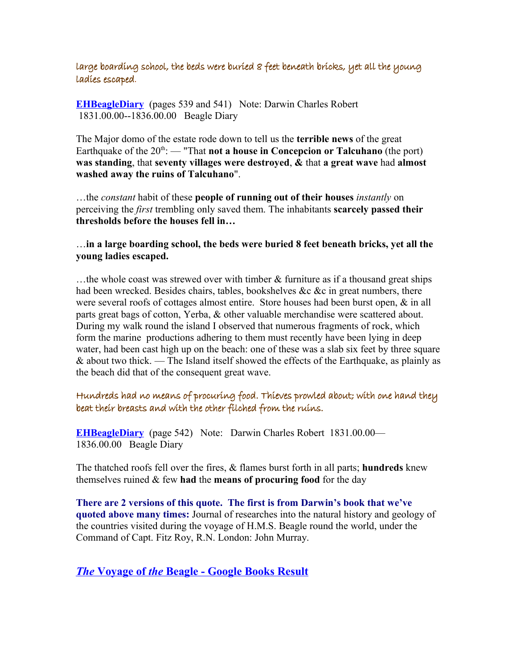large boarding school, the beds were buried 8 feet beneath bricks, yet all the young ladies escaped.

**[EHBeagleDiary](http://darwin-online.org.uk/content/frameset?viewtype=text&itemID=EHBeagleDiary&keywords=destroyed+villages+were+seventy&pageseq=542)** (pages 539 and 541) Note: Darwin Charles Robert 1831.00.00--1836.00.00 Beagle Diary

The Major domo of the estate rode down to tell us the **terrible news** of the great Earthquake of the  $20^{\text{th}}$ : — "That **not a house in Concepcion or Talcuhano** (the port) **was standing**, that **seventy villages were destroyed**, **&** that **a great wave** had **almost washed away the ruins of Talcuhano**".

…the *constant* habit of these **people of running out of their houses** *instantly* on perceiving the *first* trembling only saved them. The inhabitants **scarcely passed their thresholds before the houses fell in…**

…**in a large boarding school, the beds were buried 8 feet beneath bricks, yet all the young ladies escaped.**

 $\dots$  the whole coast was strewed over with timber  $\&$  furniture as if a thousand great ships had been wrecked. Besides chairs, tables, bookshelves &c &c in great numbers, there were several roofs of cottages almost entire. Store houses had been burst open, & in all parts great bags of cotton, Yerba, & other valuable merchandise were scattered about. During my walk round the island I observed that numerous fragments of rock, which form the marine productions adhering to them must recently have been lying in deep water, had been cast high up on the beach: one of these was a slab six feet by three square & about two thick. — The Island itself showed the effects of the Earthquake, as plainly as the beach did that of the consequent great wave.

# Hundreds had no means of procuring food. Thieves prowled about; with one hand they beat their breasts and with the other filched from the ruins.

**[EHBeagleDiary](http://darwin-online.org.uk/content/frameset?viewtype=text&itemID=EHBeagleDiary&keywords=means+no+hundreds+food+had+of+procuring&pageseq=545)** (page 542) Note: Darwin Charles Robert 1831.00.00— 1836.00.00 Beagle Diary

The thatched roofs fell over the fires, & flames burst forth in all parts; **hundreds** knew themselves ruined & few **had** the **means of procuring food** for the day

**There are 2 versions of this quote. The first is from Darwin's book that we've quoted above many times:** Journal of researches into the natural history and geology of the countries visited during the voyage of H.M.S. Beagle round the world, under the Command of Capt. Fitz Roy, R.N. London: John Murray.

 *The* **Voyage of** *the* **[Beagle - Google Books Result](http://books.google.com/books?id=MDILAAAAIAAJ&pg=PA309&lpg=PA309&dq="beat+their+breasts+and+with+the+other+filched+from+the+ruins"&source=web&ots=c0UEMJzinZ&sig=r16zXAk9nK-OwzZAJga4zgAE4g4&hl=en&sa=X&oi=book_result&resnum=1&ct=result)**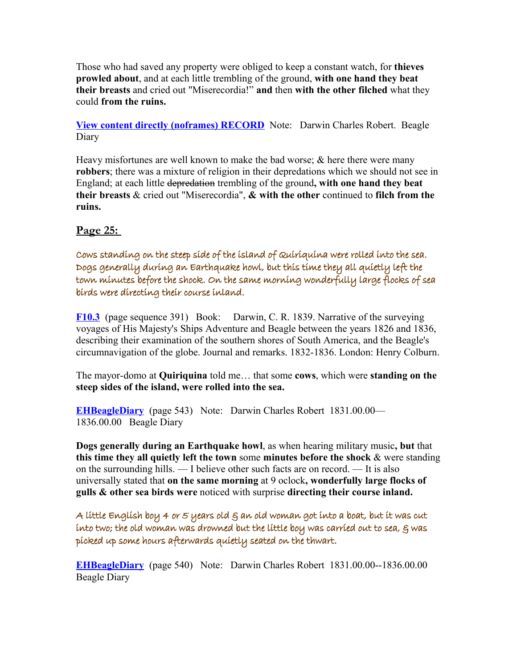Those who had saved any property were obliged to keep a constant watch, for **thieves prowled about**, and at each little trembling of the ground, **with one hand they beat their breasts** and cried out "Miserecordia!" **and** then **with the other filched** what they could **from the ruins.**

**[View content directly \(noframes\) RECORD](http://darwin-online.org.uk/content/frameset?itemID=EHBeagleDiary&viewtype=text&pageseq=1)** Note: Darwin Charles Robert. Beagle Diary

Heavy misfortunes are well known to make the bad worse; & here there were many **robbers**; there was a mixture of religion in their depredations which we should not see in England; at each little depredation trembling of the ground**, with one hand they beat their breasts** & cried out "Miserecordia", **& with the other** continued to **filch from the ruins.**

# **Page 25:**

Cows standing on the steep side of the island of Quiriquina were rolled into the sea. Dogs generally during an Earthquake howl, but this time they all quietly left the town minutes before the shock. On the same morning wonderfully large flocks of sea birds were directing their course inland.

**[F10.3](http://darwin-online.org.uk/content/frameset?viewtype=text&itemID=F10.3&keywords=the+on+island+side+standing+of+cows+steep&pageseq=391)** (page sequence 391) Book: Darwin, C. R. 1839. Narrative of the surveying voyages of His Majesty's Ships Adventure and Beagle between the years 1826 and 1836, describing their examination of the southern shores of South America, and the Beagle's circumnavigation of the globe. Journal and remarks. 1832-1836. London: Henry Colburn.

The mayor-domo at **Quiriquina** told me… that some **cows**, which were **standing on the steep sides of the island, were rolled into the sea.**

**[EHBeagleDiary](http://darwin-online.org.uk/content/frameset?viewtype=text&itemID=EHBeagleDiary&keywords=means+no+hundreds+food+had+of+procuring&pageseq=545)** (page 543) Note: Darwin Charles Robert 1831.00.00— 1836.00.00 Beagle Diary

**Dogs generally during an Earthquake howl**, as when hearing military music**, but** that **this time they all quietly left the town** some **minutes before the shock** & were standing on the surrounding hills. — I believe other such facts are on record. — It is also universally stated that **on the same morning** at 9 oclock**, wonderfully large flocks of gulls & other sea birds were** noticed with surprise **directing their course inland.**

A little English boy 4 or 5 years old  $\xi$  an old woman got into a boat, but it was cut into two; the old woman was drowned but the little boy was carried out to sea,  $\varepsilon$  was picked up some hours afterwards quietly seated on the thwart.

**[EHBeagleDiary](http://darwin-online.org.uk/content/frameset?viewtype=text&itemID=EHBeagleDiary&keywords=little+a+english+boy&pageseq=547)** (page 540) Note: Darwin Charles Robert 1831.00.00--1836.00.00 Beagle Diary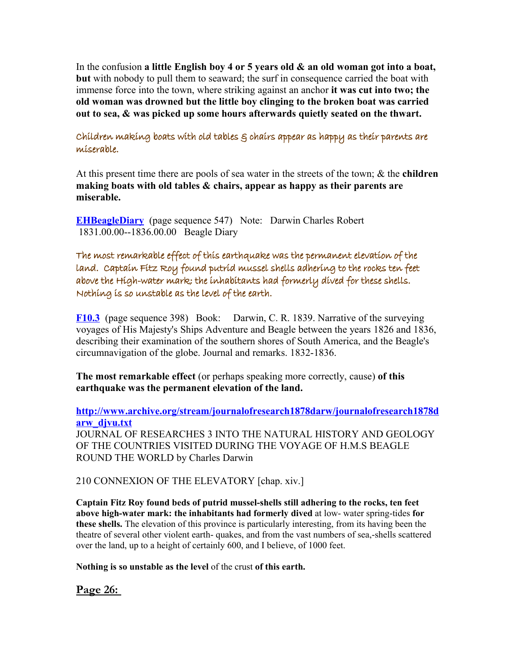In the confusion **a little English boy 4 or 5 years old & an old woman got into a boat, but** with nobody to pull them to seaward; the surf in consequence carried the boat with immense force into the town, where striking against an anchor **it was cut into two; the old woman was drowned but the little boy clinging to the broken boat was carried out to sea, & was picked up some hours afterwards quietly seated on the thwart.**

Children making boats with old tables & chairs appear as happy as their parents are miserable.

At this present time there are pools of sea water in the streets of the town; & the **children making boats with old tables & chairs, appear as happy as their parents are miserable.**

**[EHBeagleDiary](http://darwin-online.org.uk/content/frameset?viewtype=text&itemID=EHBeagleDiary&keywords=making+old+boats+children+with+tables&pageseq=547)** (page sequence 547) Note: Darwin Charles Robert 1831.00.00--1836.00.00 Beagle Diary

The most remarkable effect of this earthquake was the permanent elevation of the land. Captain Fitz Roy found putrid mussel shells adhering to the rocks ten feet above the High-water mark; the inhabitants had formerly dived for these shells. Nothing is so unstable as the level of the earth.

**[F10.3](http://darwin-online.org.uk/content/frameset?viewtype=text&itemID=F10.3&keywords=the+elevation+permanent+of+land&pageseq=398)** (page sequence 398) Book: Darwin, C. R. 1839. Narrative of the surveying voyages of His Majesty's Ships Adventure and Beagle between the years 1826 and 1836, describing their examination of the southern shores of South America, and the Beagle's circumnavigation of the globe. Journal and remarks. 1832-1836.

**The most remarkable effect** (or perhaps speaking more correctly, cause) **of this earthquake was the permanent elevation of the land.**

**[http://www.archive.org/stream/journalofresearch1878darw/journalofresearch1878d](http://www.archive.org/stream/journalofresearch1878darw/journalofresearch1878darw_djvu.txt) [arw\\_djvu.txt](http://www.archive.org/stream/journalofresearch1878darw/journalofresearch1878darw_djvu.txt)** JOURNAL OF RESEARCHES 3 INTO THE NATURAL HISTORY AND GEOLOGY OF THE COUNTRIES VISITED DURING THE VOYAGE OF H.M.S BEAGLE ROUND THE WORLD by Charles Darwin

210 CONNEXION OF THE ELEVATORY [chap. xiv.]

**Captain Fitz Roy found beds of putrid mussel-shells still adhering to the rocks, ten feet above high-water mark: the inhabitants had formerly dived** at low- water spring-tides **for these shells.** The elevation of this province is particularly interesting, from its having been the theatre of several other violent earth- quakes, and from the vast numbers of sea,-shells scattered over the land, up to a height of certainly 600, and I believe, of 1000 feet.

**Nothing is so unstable as the level** of the crust **of this earth.**

**Page 26:**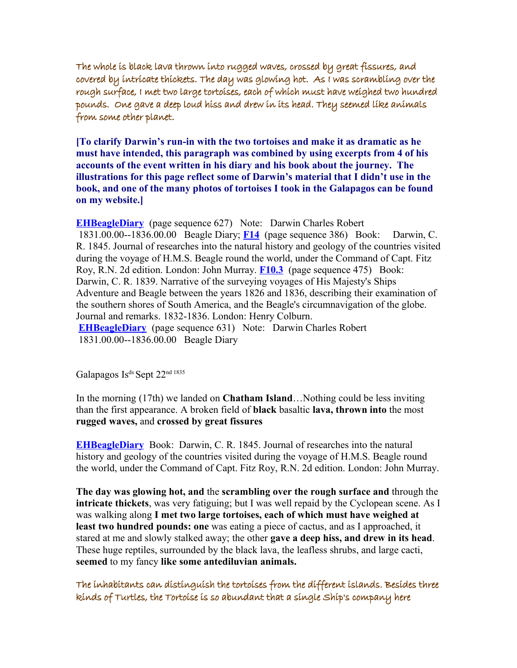The whole is black lava thrown into rugged waves, crossed by great fissures, and covered by intricate thickets. The day was glowing hot. As I was scrambling over the rough surface, I met two large tortoises, each of which must have weighed two hundred pounds. One gave a deep loud hiss and drew in its head. They seemed like animals from some other planet.

**[To clarify Darwin's run-in with the two tortoises and make it as dramatic as he must have intended, this paragraph was combined by using excerpts from 4 of his accounts of the event written in his diary and his book about the journey. The illustrations for this page reflect some of Darwin's material that I didn't use in the book, and one of the many photos of tortoises I took in the Galapagos can be found on my website.]**

**[EHBeagleDiary](http://darwin-online.org.uk/content/frameset?viewtype=text&itemID=EHBeagleDiary&keywords=lava+black+the+is+whole&pageseq=627)** (page sequence 627) Note: Darwin Charles Robert 1831.00.00--1836.00.00 Beagle Diary; **[F14](http://darwin-online.org.uk/content/frameset?viewtype=text&itemID=F14&keywords=rugged+waves+thrown+into&pageseq=386)** (page sequence 386) Book: Darwin, C. R. 1845. Journal of researches into the natural history and geology of the countries visited during the voyage of H.M.S. Beagle round the world, under the Command of Capt. Fitz Roy, R.N. 2d edition. London: John Murray. **[F10.3](http://darwin-online.org.uk/content/frameset?viewtype=text&itemID=F10.3&keywords=as+i+over+rough+surface+large+met+tortoises+was+two+the+scrambling&pageseq=475)** (page sequence 475) Book: Darwin, C. R. 1839. Narrative of the surveying voyages of His Majesty's Ships Adventure and Beagle between the years 1826 and 1836, describing their examination of the southern shores of South America, and the Beagle's circumnavigation of the globe. Journal and remarks. 1832-1836. London: Henry Colburn. **[EHBeagleDiary](http://darwin-online.org.uk/content/frameset?viewtype=text&itemID=EHBeagleDiary&keywords=day+hot+the+glowing+was&pageseq=631)** (page sequence 631) Note: Darwin Charles Robert 1831.00.00--1836.00.00 Beagle Diary

Galapagos Is<sup>ds</sup> Sept 22<sup>nd 1835</sup>

In the morning (17th) we landed on **Chatham Island**…Nothing could be less inviting than the first appearance. A broken field of **black** basaltic **lava, thrown into** the most **rugged waves,** and **crossed by great fissures**

**[EHBeagleDiary](http://darwin-online.org.uk/content/frameset?viewtype=text&itemID=EHBeagleDiary&keywords=day+hot+the+glowing+was&pageseq=631)** Book: Darwin, C. R. 1845. Journal of researches into the natural history and geology of the countries visited during the voyage of H.M.S. Beagle round the world, under the Command of Capt. Fitz Roy, R.N. 2d edition. London: John Murray.

**The day was glowing hot, and** the **scrambling over the rough surface and** through the **intricate thickets**, was very fatiguing; but I was well repaid by the Cyclopean scene. As I was walking along **I met two large tortoises, each of which must have weighed at least two hundred pounds: one** was eating a piece of cactus, and as I approached, it stared at me and slowly stalked away; the other **gave a deep hiss, and drew in its head**. These huge reptiles, surrounded by the black lava, the leafless shrubs, and large cacti, **seemed** to my fancy **like some antediluvian animals.**

The inhabitants can distinguish the tortoises from the different islands. Besides three kinds of Turtles, the Tortoise is so abundant that a single Ship's company here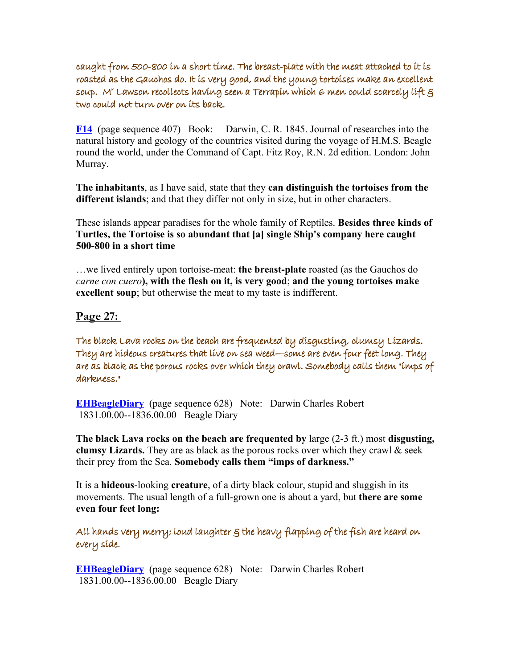caught from 500-800 in a short time. The breast-plate with the meat attached to it is roasted as the Gauchos do. It is very good, and the young tortoises make an excellent soup. M' Lawson recollects having seen a Terrapín whích 6 men could scarcely líft  $\varepsilon$ two could not turn over on its back.

**[F14](http://darwin-online.org.uk/content/frameset?viewtype=text&itemID=F14&keywords=from+distinguish+the+islands+can+different+tortoises+inhabitants&pageseq=407)** (page sequence 407) Book: Darwin, C. R. 1845. Journal of researches into the natural history and geology of the countries visited during the voyage of H.M.S. Beagle round the world, under the Command of Capt. Fitz Roy, R.N. 2d edition. London: John Murray.

**The inhabitants**, as I have said, state that they **can distinguish the tortoises from the different islands**; and that they differ not only in size, but in other characters.

These islands appear paradises for the whole family of Reptiles. **Besides three kinds of Turtles, the Tortoise is so abundant that [a] single Ship's company here caught 500-800 in a short time**

…we lived entirely upon tortoise-meat: **the breast-plate** roasted (as the Gauchos do *carne con cuero***), with the flesh on it, is very good**; **and the young tortoises make excellent soup**; but otherwise the meat to my taste is indifferent.

**Page 27:** 

The black Lava rocks on the beach are frequented by disgusting, clumsy Lizards. They are hideous creatures that live on sea weed—some are even four feet long. They are as black as the porous rocks over which they crawl. Somebody calls them "imps of darkness."

**[EHBeagleDiary](http://darwin-online.org.uk/content/frameset?viewtype=text&itemID=EHBeagleDiary&keywords=are+lava+clumsy+lizards+by+frequented+black+the+on+disgusting+beach+rocks&pageseq=628)** (page sequence 628) Note: Darwin Charles Robert 1831.00.00--1836.00.00 Beagle Diary

**The black Lava rocks on the beach are frequented by** large (2-3 ft.) most **disgusting, clumsy Lizards.** They are as black as the porous rocks over which they crawl & seek their prey from the Sea. **Somebody calls them "imps of darkness."**

It is a **hideous**-looking **creature**, of a dirty black colour, stupid and sluggish in its movements. The usual length of a full-grown one is about a yard, but **there are some even four feet long:** 

All hands very merry; loud laughter & the heavy flapping of the fish are heard on every side.

**[EHBeagleDiary](http://darwin-online.org.uk/content/frameset?viewtype=text&itemID=EHBeagleDiary&keywords=heavy+hands+very+merry+laughter+loud+of+flapping+the+fish&pageseq=628)** (page sequence 628) Note: Darwin Charles Robert 1831.00.00--1836.00.00 Beagle Diary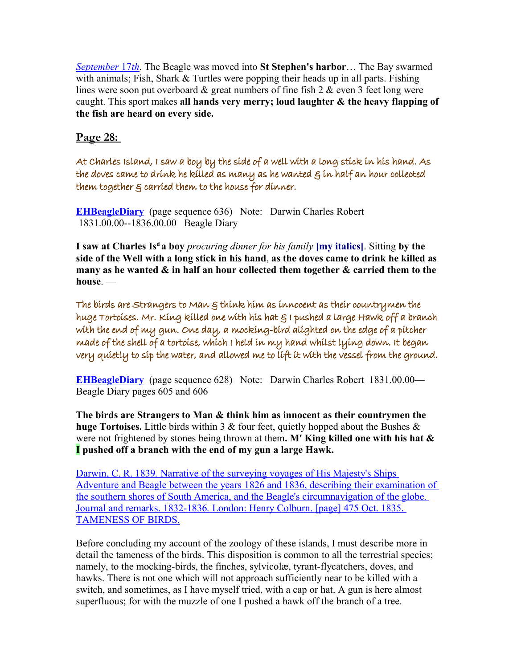*September 17th*. The Beagle was moved into St Stephen's harbor... The Bay swarmed with animals; Fish, Shark & Turtles were popping their heads up in all parts. Fishing lines were soon put overboard  $\&$  great numbers of fine fish 2  $\&$  even 3 feet long were caught. This sport makes **all hands very merry; loud laughter & the heavy flapping of the fish are heard on every side.**

**Page 28:** 

At Charles Island, I saw a boy by the side of a well with a long stick in his hand. As the doves came to drink he killed as many as he wanted  $\varepsilon$  in half an hour collected them together & carried them to the house for dinner.

**[EHBeagleDiary](http://darwin-online.org.uk/content/frameset?viewtype=text&itemID=EHBeagleDiary&keywords=saw+i+side+well+of+stick+by+long+the+a+with+boy&pageseq=636)** (page sequence 636) Note: Darwin Charles Robert 1831.00.00--1836.00.00 Beagle Diary

**I saw at Charles Is<sup>d</sup>a boy** *procuring dinner for his family* **[my italics]**. Sitting **by the side of the Well with a long stick in his hand**, **as the doves came to drink he killed as many as he wanted & in half an hour collected them together & carried them to the house**. —

The birds are Strangers to Man & think him as innocent as their countrymen the huge Tortoises. Mr. King killed one with his hat & I pushed a large Hawk off a branch with the end of my gun. One day, a mocking-bird alighted on the edge of a pitcher made of the shell of a tortoise, which I held in my hand whilst lying down. It began very quietly to sip the water, and allowed me to lift it with the vessel from the ground.

**[EHBeagleDiary](http://darwin-online.org.uk/content/frameset?viewtype=text&itemID=EHBeagleDiary&keywords=are+think+as+strangers+innocent+him+the+man+to+birds&pageseq=628)** (page sequence 628) Note: Darwin Charles Robert 1831.00.00— Beagle Diary pages 605 and 606

**The birds are Strangers to Man & think him as innocent as their countrymen the huge Tortoises.** Little birds within 3 & four feet, quietly hopped about the Bushes & were not frightened by stones being thrown at them. M<sup>**r**</sup> King killed one with his hat & **I pushed off a branch with the end of my gun a large Hawk.**

Darwin, C. R. 1839. [Narrative of the surveying voyages of His Majesty's Ships](http://darwin-online.org.uk/content/frameset?itemID=F10.3&viewtype=side&pageseq=494) [Adventure and Beagle between the years 1826 and 1836, describing their examination of](http://darwin-online.org.uk/content/frameset?itemID=F10.3&viewtype=side&pageseq=494) the southern shores of South America, and the Beagle's circumnavigation of the globe. Journal and remarks. 1832-1836*.* London: Henry Colburn. [page] 475 Oct. 1835. [TAMENESS OF BIRDS.](http://darwin-online.org.uk/content/frameset?itemID=F10.3&viewtype=side&pageseq=494)

Before concluding my account of the zoology of these islands, I must describe more in detail the tameness of the birds. This disposition is common to all the terrestrial species; namely, to the mocking-birds, the finches, sylvicolæ, tyrant-flycatchers, doves, and hawks. There is not one which will not approach sufficiently near to be killed with a switch, and sometimes, as I have myself tried, with a cap or hat. A gun is here almost superfluous; for with the muzzle of one I pushed a hawk off the branch of a tree.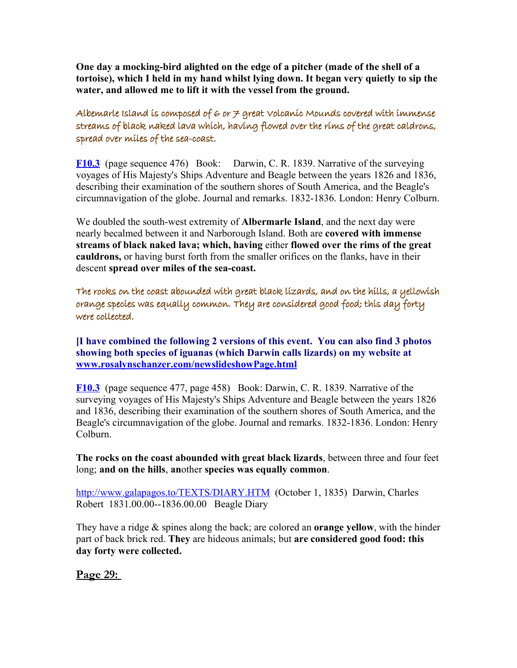**One day a mocking-bird alighted on the edge of a pitcher (made of the shell of a tortoise), which I held in my hand whilst lying down. It began very quietly to sip the water, and allowed me to lift it with the vessel from the ground.**

Albemarle Island is composed of 6 or  $\neq$  great Volcanic Mounds covered with immense streams of black naked lava which, having flowed over the rims of the great caldrons, spread over miles of the sea-coast.

**[F10.3](http://darwin-online.org.uk/content/frameset?viewtype=text&itemID=F10.3&keywords=over+caldrons+the+flowed+great+of+rims&pageseq=476)** (page sequence 476) Book: Darwin, C. R. 1839. Narrative of the surveying voyages of His Majesty's Ships Adventure and Beagle between the years 1826 and 1836, describing their examination of the southern shores of South America, and the Beagle's circumnavigation of the globe. Journal and remarks. 1832-1836. London: Henry Colburn.

We doubled the south-west extremity of **Albermarle Island**, and the next day were nearly becalmed between it and Narborough Island. Both are **covered with immense streams of black naked lava; which, having** either **flowed over the rims of the great cauldrons,** or having burst forth from the smaller orifices on the flanks, have in their descent **spread over miles of the sea-coast.**

The rocks on the coast abounded with great black lizards, and on the hills, a yellowish orange species was equally common. They are considered good food; this day forty were collected.

**[I have combined the following 2 versions of this event. You can also find 3 photos showing both species of iguanas (which Darwin calls lizards) on my website at [www.rosalynschanzer.com/newslideshowPage.html](http://www.rosalynschanzer.com/newslideshowPage.html)**

**[F10.3](http://darwin-online.org.uk/content/frameset?viewtype=text&itemID=F10.3&keywords=coast+abounded+lizards+black+on+the+great+with+rocks&pageseq=477)** (page sequence 477, page 458) Book: Darwin, C. R. 1839. Narrative of the surveying voyages of His Majesty's Ships Adventure and Beagle between the years 1826 and 1836, describing their examination of the southern shores of South America, and the Beagle's circumnavigation of the globe. Journal and remarks. 1832-1836. London: Henry Colburn.

**The rocks on the coast abounded with great black lizards**, between three and four feet long; **and on the hills**, **an**other **species was equally common**.

<http://www.galapagos.to/TEXTS/DIARY.HTM>(October 1, 1835) Darwin, Charles Robert 1831.00.00--1836.00.00 Beagle Diary

They have a ridge & spines along the back; are colored an **orange yellow**, with the hinder part of back brick red. **They** are hideous animals; but **are considered good food: this day forty were collected.**

**Page 29:**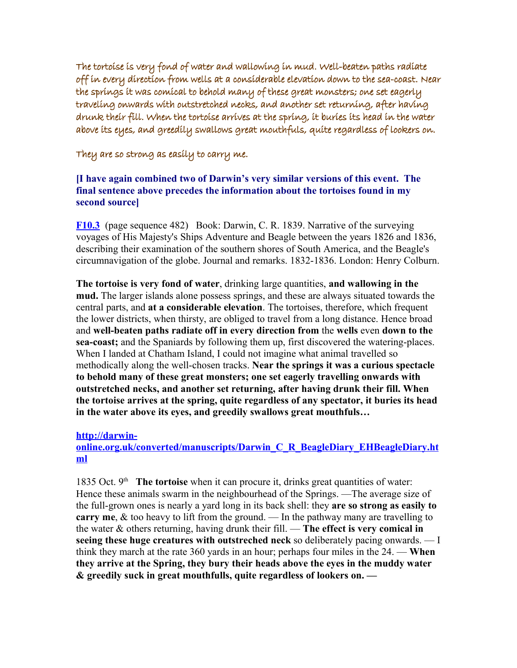The tortoise is very fond of water and wallowing in mud. Well-beaten paths radiate off in every direction from wells at a considerable elevation down to the sea-coast. Near the springs it was comical to behold many of these great monsters; one set eagerly traveling onwards with outstretched necks, and another set returning, after having drunk their fill. When the tortoise arrives at the spring, it buries its head in the water above its eyes, and greedily swallows great mouthfuls, quite regardless of lookers on.

They are so strong as easily to carry me.

## **[I have again combined two of Darwin's very similar versions of this event. The final sentence above precedes the information about the tortoises found in my second source]**

**[F10.3](http://darwin-online.org.uk/content/frameset?viewtype=text&itemID=F10.3&keywords=in+wallowing+very+mud+of+is+water+tortoise+fond+and&pageseq=482)** (page sequence 482) Book: Darwin, C. R. 1839. Narrative of the surveying voyages of His Majesty's Ships Adventure and Beagle between the years 1826 and 1836, describing their examination of the southern shores of South America, and the Beagle's circumnavigation of the globe. Journal and remarks. 1832-1836. London: Henry Colburn.

**The tortoise is very fond of water**, drinking large quantities, **and wallowing in the mud.** The larger islands alone possess springs, and these are always situated towards the central parts, and **at a considerable elevation**. The tortoises, therefore, which frequent the lower districts, when thirsty, are obliged to travel from a long distance. Hence broad and **well-beaten paths radiate off in every direction from** the **wells** even **down to the sea-coast;** and the Spaniards by following them up, first discovered the watering-places. When I landed at Chatham Island, I could not imagine what animal travelled so methodically along the well-chosen tracks. **Near the springs it was a curious spectacle to behold many of these great monsters; one set eagerly travelling onwards with outstretched necks, and another set returning, after having drunk their fill. When the tortoise arrives at the spring, quite regardless of any spectator, it buries its head in the water above its eyes, and greedily swallows great mouthfuls…**

#### **[http://darwin-](http://darwin-online.org.uk/converted/manuscripts/Darwin_C_R_BeagleDiary_EHBeagleDiary.html)**

## **[online.org.uk/converted/manuscripts/Darwin\\_C\\_R\\_BeagleDiary\\_EHBeagleDiary.ht](http://darwin-online.org.uk/converted/manuscripts/Darwin_C_R_BeagleDiary_EHBeagleDiary.html) [ml](http://darwin-online.org.uk/converted/manuscripts/Darwin_C_R_BeagleDiary_EHBeagleDiary.html)**

1835 Oct. 9<sup>th</sup> The tortoise when it can procure it, drinks great quantities of water: Hence these animals swarm in the neighbourhead of the Springs. —The average size of the full-grown ones is nearly a yard long in its back shell: they **are so strong as easily to carry me**, & too heavy to lift from the ground. — In the pathway many are travelling to the water & others returning, having drunk their fill. — **The effect is very comical in seeing these huge creatures with outstreched neck** so deliberately pacing onwards. — I think they march at the rate 360 yards in an hour; perhaps four miles in the 24. — **When they arrive at the Spring, they bury their heads above the eyes in the muddy water & greedily suck in great mouthfulls, quite regardless of lookers on. —**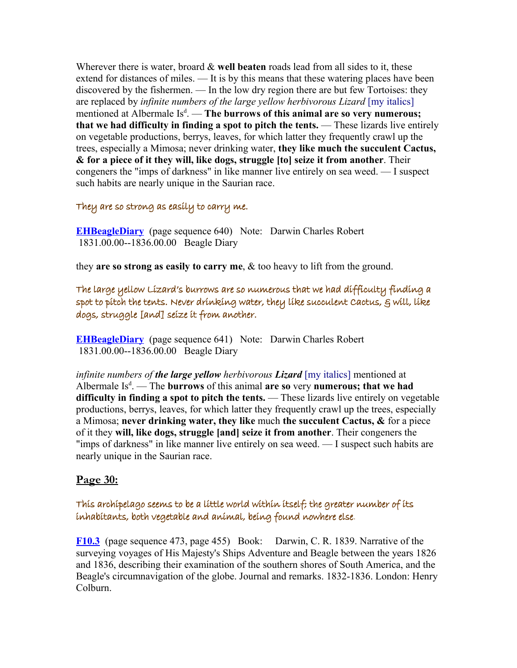Wherever there is water, broard & **well beaten** roads lead from all sides to it, these extend for distances of miles. — It is by this means that these watering places have been discovered by the fishermen. — In the low dry region there are but few Tortoises: they are replaced by *infinite numbers of the large yellow herbivorous Lizard* [my italics] mentioned at Albermale Is<sup>d</sup>. — **The burrows of this animal are so very numerous; that we had difficulty in finding a spot to pitch the tents.** — These lizards live entirely on vegetable productions, berrys, leaves, for which latter they frequently crawl up the trees, especially a Mimosa; never drinking water, **they like much the succulent Cactus, & for a piece of it they will, like dogs, struggle [to] seize it from another**. Their congeners the "imps of darkness" in like manner live entirely on sea weed. — I suspect such habits are nearly unique in the Saurian race.

#### They are so strong as easily to carry me.

**[EHBeagleDiary](http://darwin-online.org.uk/content/frameset?viewtype=text&itemID=EHBeagleDiary&keywords=are+they+as+easily+strong+me+so+to+carry&pageseq=640)** (page sequence 640) Note: Darwin Charles Robert 1831.00.00--1836.00.00 Beagle Diary

they **are so strong as easily to carry me**, & too heavy to lift from the ground.

The large yellow Lizard's burrows are so numerous that we had difficulty finding a spot to pitch the tents. Never drinking water, they like succulent Cactus, & will, like dogs, struggle [and] seize it from another.

**[EHBeagleDiary](http://darwin-online.org.uk/content/frameset?viewtype=text&itemID=EHBeagleDiary&keywords=spot+the+finding+a+pitch+to+tents&pageseq=641)** (page sequence 641) Note: Darwin Charles Robert 1831.00.00--1836.00.00 Beagle Diary

*infinite numbers of the large yellow herbivorous Lizard* [my italics] mentioned at Albermale Is<sup>d</sup>. — The **burrows** of this animal **are so** very **numerous; that we had** difficulty in finding a spot to pitch the tents. — These lizards live entirely on vegetable productions, berrys, leaves, for which latter they frequently crawl up the trees, especially a Mimosa; **never drinking water, they like** much **the succulent Cactus, &** for a piece of it they **will, like dogs, struggle [and] seize it from another**. Their congeners the "imps of darkness" in like manner live entirely on sea weed. — I suspect such habits are nearly unique in the Saurian race.

## **Page 30:**

## This archipelago seems to be a little world within itself; the greater number of its inhabitants, both vegetable and animal, being found nowhere else.

**[F10.3](http://darwin-online.org.uk/content/frameset?viewtype=text&itemID=F10.3&keywords=within+little+world+be+seems+a+archipelago+to+itself&pageseq=473)** (page sequence 473, page 455) Book: Darwin, C. R. 1839. Narrative of the surveying voyages of His Majesty's Ships Adventure and Beagle between the years 1826 and 1836, describing their examination of the southern shores of South America, and the Beagle's circumnavigation of the globe. Journal and remarks. 1832-1836. London: Henry Colburn.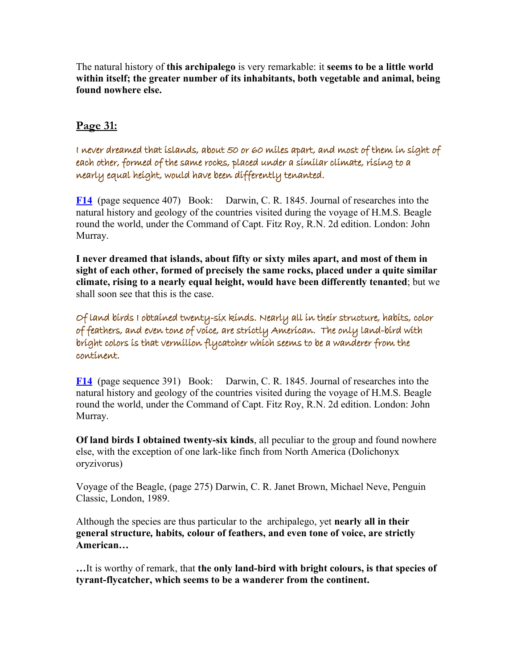The natural history of **this archipalego** is very remarkable: it **seems to be a little world within itself; the greater number of its inhabitants, both vegetable and animal, being found nowhere else.**

# **Page 31:**

I never dreamed that islands, about 50 or 60 miles apart, and most of them in sight of each other, formed of the same rocks, placed under a similar climate, rising to a nearly equal height, would have been differently tenanted.

**[F14](http://darwin-online.org.uk/content/frameset?viewtype=text&itemID=F14&keywords=have+differently+been+would+tenanted&pageseq=407)** (page sequence 407) Book: Darwin, C. R. 1845. Journal of researches into the natural history and geology of the countries visited during the voyage of H.M.S. Beagle round the world, under the Command of Capt. Fitz Roy, R.N. 2d edition. London: John Murray.

**I never dreamed that islands, about fifty or sixty miles apart, and most of them in sight of each other, formed of precisely the same rocks, placed under a quite similar climate, rising to a nearly equal height, would have been differently tenanted**; but we shall soon see that this is the case.

Of land birds I obtained twenty-six kinds. Nearly all in their structure, habits, color of feathers, and even tone of voice, are strictly American. The only land-bird with bright colors is that vermilion flycatcher which seems to be a wanderer from the continent.

**[F14](http://darwin-online.org.uk/content/frameset?viewtype=text&itemID=F14&keywords=kinds+six+twenty+i+obtained+of+land+birds&pageseq=391)** (page sequence 391) Book: Darwin, C. R. 1845. Journal of researches into the natural history and geology of the countries visited during the voyage of H.M.S. Beagle round the world, under the Command of Capt. Fitz Roy, R.N. 2d edition. London: John Murray.

**Of land birds I obtained twenty-six kinds**, all peculiar to the group and found nowhere else, with the exception of one lark-like finch from North America (Dolichonyx oryzivorus)

Voyage of the Beagle, (page 275) Darwin, C. R. Janet Brown, Michael Neve, Penguin Classic, London, 1989.

Although the species are thus particular to the archipalego, yet **nearly all in their general structure***,* **habits***,* **colour of feathers, and even tone of voice, are strictly American…**

**…**It is worthy of remark, that **the only land-bird with bright colours, is that species of tyrant-flycatcher, which seems to be a wanderer from the continent.**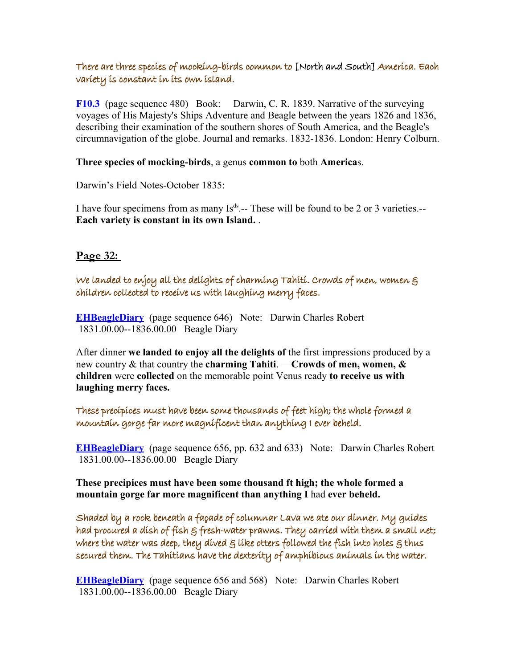## There are three species of mocking-birds common to [North and South] America. Each variety is constant in its own island.

**[F10.3](http://darwin-online.org.uk/content/frameset?viewtype=text&itemID=F10.3&keywords=three+common+species+of+birds+mocking&pageseq=480)** (page sequence 480) Book: Darwin, C. R. 1839. Narrative of the surveying voyages of His Majesty's Ships Adventure and Beagle between the years 1826 and 1836, describing their examination of the southern shores of South America, and the Beagle's circumnavigation of the globe. Journal and remarks. 1832-1836. London: Henry Colburn.

#### **Three species of mocking-birds**, a genus **common to** both **America**s.

Darwin's Field Notes-October 1835:

I have four specimens from as many  $Is<sup>ds</sup>$  -- These will be found to be 2 or 3 varieties.--**Each variety is constant in its own Island.** .

**Page 32:** 

We landed to enjoy all the delights of charming Tahiti. Crowds of men, women & children collected to receive us with laughing merry faces.

**[EHBeagleDiary](http://darwin-online.org.uk/content/frameset?viewtype=text&itemID=EHBeagleDiary&keywords=men+us+collected+women+children+to+receive&pageseq=646)** (page sequence 646) Note: Darwin Charles Robert 1831.00.00--1836.00.00 Beagle Diary

After dinner **we landed to enjoy all the delights of** the first impressions produced by a new country & that country the **charming Tahiti**. —**Crowds of men, women, & children** were **collected** on the memorable point Venus ready **to receive us with laughing merry faces.**

These precipices must have been some thousands of feet high; the whole formed a mountain gorge far more magnificent than anything I ever beheld.

**[EHBeagleDiary](http://darwin-online.org.uk/content/frameset?viewtype=text&itemID=EHBeagleDiary&keywords=magnificent+than+i+more+anything+formed+far+gorge+ever+beheld+mountain+the+a+whole&pageseq=656)** (page sequence 656, pp. 632 and 633) Note: Darwin Charles Robert 1831.00.00--1836.00.00 Beagle Diary

**These precipices must have been some thousand ft high; the whole formed a mountain gorge far more magnificent than anything I** had **ever beheld.** 

Shaded by a rock beneath a façade of columnar Lava we ate our dinner. My guides had procured a dish of fish & fresh-water prawns. They carried with them a small net; where the water was deep, they dived  $\varepsilon$  like otters followed the fish into holes  $\varepsilon$  thus secured them. The Tahitians have the dexterity of amphibious animals in the water.

**[EHBeagleDiary](http://darwin-online.org.uk/content/frameset?viewtype=text&itemID=EHBeagleDiary&keywords=by+a+rock+shaded&pageseq=656)** (page sequence 656 and 568) Note: Darwin Charles Robert 1831.00.00--1836.00.00 Beagle Diary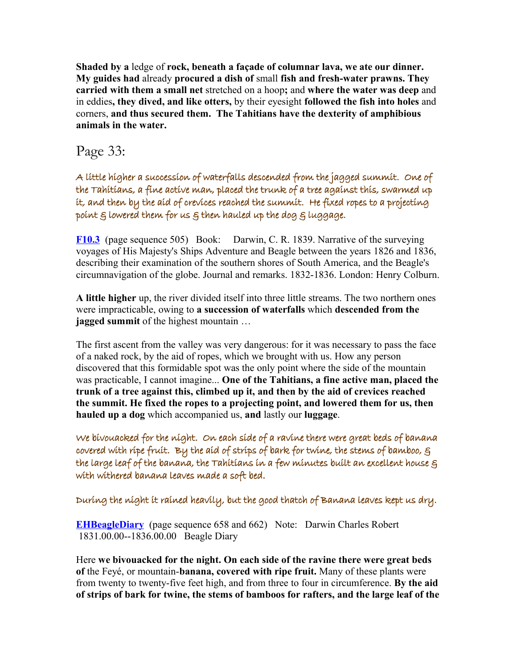**Shaded by a** ledge of **rock, beneath a façade of columnar lava, we ate our dinner. My guides had** already **procured a dish of** small **fish and fresh-water prawns. They carried with them a small net** stretched on a hoop**;** and **where the water was deep** and in eddies**, they dived, and like otters,** by their eyesight **followed the fish into holes** and corners, **and thus secured them. The Tahitians have the dexterity of amphibious animals in the water.** 

# Page 33:

A little higher a succession of waterfalls descended from the jagged summit. One of the Tahitians, a fine active man, placed the trunk of a tree against this, swarmed up it, and then by the aid of crevices reached the summit. He fixed ropes to a projecting point  $s$  lowered them for us  $s$  then hauled up the dog  $s$  luggage.

**[F10.3](http://darwin-online.org.uk/content/frameset?viewtype=text&itemID=F10.3&keywords=little+a+succession+descended+of+waterfalls+higher&pageseq=505)** (page sequence 505) Book: Darwin, C. R. 1839. Narrative of the surveying voyages of His Majesty's Ships Adventure and Beagle between the years 1826 and 1836, describing their examination of the southern shores of South America, and the Beagle's circumnavigation of the globe. Journal and remarks. 1832-1836. London: Henry Colburn.

**A little higher** up, the river divided itself into three little streams. The two northern ones were impracticable, owing to **a succession of waterfalls** which **descended from the jagged summit** of the highest mountain …

The first ascent from the valley was very dangerous: for it was necessary to pass the face of a naked rock, by the aid of ropes, which we brought with us. How any person discovered that this formidable spot was the only point where the side of the mountain was practicable, I cannot imagine... **One of the Tahitians, a fine active man, placed the trunk of a tree against this, climbed up it, and then by the aid of crevices reached the summit. He fixed the ropes to a projecting point, and lowered them for us, then hauled up a dog** which accompanied us, **and** lastly our **luggage**.

We bivouacked for the night. On each side of a ravine there were great beds of banana covered with ripe fruit. By the aid of strips of bark for twine, the stems of bamboo, g the large leaf of the banana, the Tahitians in a few minutes built an excellent house  $\varepsilon$ with withered banana leaves made a soft bed.

During the night it rained heavily, but the good thatch of Banana leaves kept us dry.

**[EHBeagleDiary](http://darwin-online.org.uk/content/frameset?viewtype=text&itemID=EHBeagleDiary&keywords=the+bivouacked+night+for+we&pageseq=658)** (page sequence 658 and 662) Note: Darwin Charles Robert 1831.00.00--1836.00.00 Beagle Diary

Here **we bivouacked for the night. On each side of the ravine there were great beds of** the Feyé, or mountain-**banana, covered with ripe fruit.** Many of these plants were from twenty to twenty-five feet high, and from three to four in circumference. **By the aid of strips of bark for twine, the stems of bamboos for rafters, and the large leaf of the**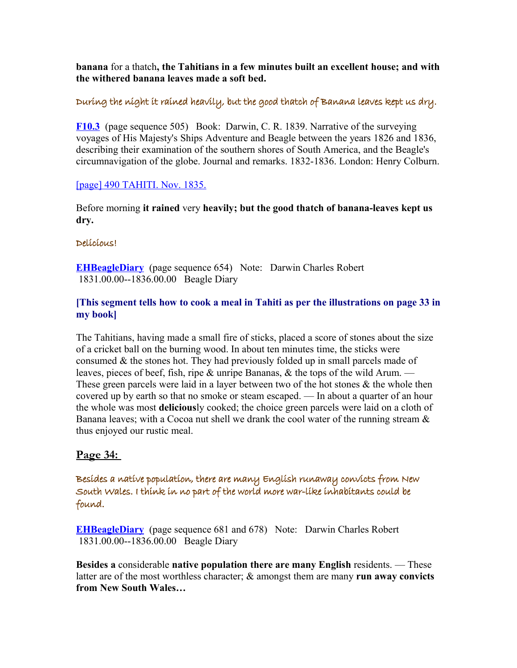**banana** for a thatch**, the Tahitians in a few minutes built an excellent house; and with the withered banana leaves made a soft bed.**

## During the night it rained heavily, but the good thatch of Banana leaves kept us dry.

**[F10.3](http://darwin-online.org.uk/content/frameset?viewtype=text&itemID=F10.3&keywords=little+a+succession+descended+of+waterfalls+higher&pageseq=505)** (page sequence 505) Book: Darwin, C. R. 1839. Narrative of the surveying voyages of His Majesty's Ships Adventure and Beagle between the years 1826 and 1836, describing their examination of the southern shores of South America, and the Beagle's circumnavigation of the globe. Journal and remarks. 1832-1836. London: Henry Colburn.

#### [\[page\] 490 TAHITI. Nov. 1835.](http://darwin-online.org.uk/content/frameset?viewtype=side&itemID=F10.3&pageseq=509)

Before morning **it rained** very **heavily; but the good thatch of banana-leaves kept us dry.**

#### Delicious!

**[EHBeagleDiary](http://darwin-online.org.uk/content/frameset?viewtype=text&itemID=EHBeagleDiary&keywords=delicious&pageseq=654)** (page sequence 654) Note: Darwin Charles Robert 1831.00.00--1836.00.00 Beagle Diary

#### **[This segment tells how to cook a meal in Tahiti as per the illustrations on page 33 in my book]**

The Tahitians, having made a small fire of sticks, placed a score of stones about the size of a cricket ball on the burning wood. In about ten minutes time, the sticks were consumed & the stones hot. They had previously folded up in small parcels made of leaves, pieces of beef, fish, ripe & unripe Bananas, & the tops of the wild Arum. — These green parcels were laid in a layer between two of the hot stones  $\&$  the whole then covered up by earth so that no smoke or steam escaped. — In about a quarter of an hour the whole was most **delicious**ly cooked; the choice green parcels were laid on a cloth of Banana leaves; with a Cocoa nut shell we drank the cool water of the running stream  $\&$ thus enjoyed our rustic meal.

## **Page 34:**

Besides a native population, there are many English runaway convicts from New South Wales. I think in no part of the world more war-like inhabitants could be found.

**[EHBeagleDiary](http://darwin-online.org.uk/content/frameset?viewtype=text&itemID=EHBeagleDiary&keywords=population+native+a+besides&pageseq=681)** (page sequence 681 and 678) Note: Darwin Charles Robert 1831.00.00--1836.00.00 Beagle Diary

**Besides a** considerable **native population there are many English** residents. — These latter are of the most worthless character; & amongst them are many **run away convicts from New South Wales…**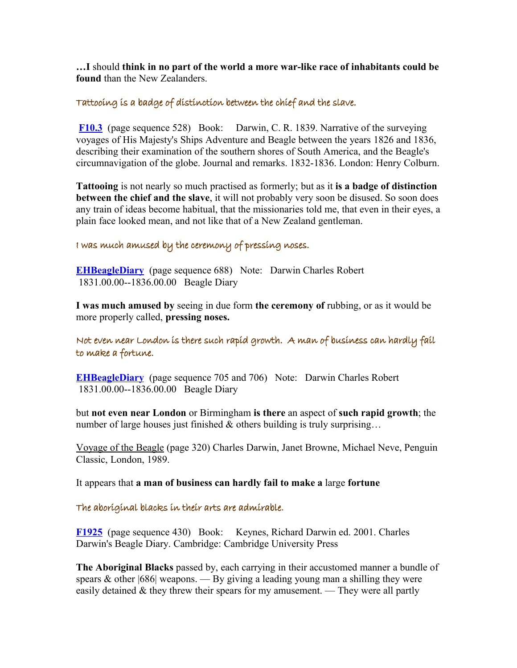**…I** should **think in no part of the world a more war-like race of inhabitants could be found** than the New Zealanders.

#### Tattooing is a badge of distinction between the chief and the slave.

 **[F10.3](http://darwin-online.org.uk/content/frameset?viewtype=text&itemID=F10.3&keywords=badge+of+is+distinction+chief+the+tattooing+a+between+slave+and&pageseq=528)** (page sequence 528) Book: Darwin, C. R. 1839. Narrative of the surveying voyages of His Majesty's Ships Adventure and Beagle between the years 1826 and 1836, describing their examination of the southern shores of South America, and the Beagle's circumnavigation of the globe. Journal and remarks. 1832-1836. London: Henry Colburn.

**Tattooing** is not nearly so much practised as formerly; but as it **is a badge of distinction between the chief and the slave**, it will not probably very soon be disused. So soon does any train of ideas become habitual, that the missionaries told me, that even in their eyes, a plain face looked mean, and not like that of a New Zealand gentleman.

# I was much amused by the ceremony of pressing noses.

**[EHBeagleDiary](http://darwin-online.org.uk/content/frameset?viewtype=text&itemID=EHBeagleDiary&keywords=i+of+was+by+amused+ceremony+noses+much+the+pressing&pageseq=688)** (page sequence 688) Note: Darwin Charles Robert 1831.00.00--1836.00.00 Beagle Diary

**I was much amused by** seeing in due form **the ceremony of** rubbing, or as it would be more properly called, **pressing noses.**

Not even near London is there such rapid growth. A man of business can hardly fail to make a fortune.

**[EHBeagleDiary](http://darwin-online.org.uk/content/frameset?viewtype=text&itemID=EHBeagleDiary&keywords=near+even+not+london&pageseq=705)** (page sequence 705 and 706) Note: Darwin Charles Robert 1831.00.00--1836.00.00 Beagle Diary

but **not even near London** or Birmingham **is there** an aspect of **such rapid growth**; the number of large houses just finished  $\&$  others building is truly surprising...

Voyage of the Beagle (page 320) Charles Darwin, Janet Browne, Michael Neve, Penguin Classic, London, 1989.

It appears that **a man of business can hardly fail to make a** large **fortune**

#### The aboriginal blacks in their arts are admirable.

**[F1925](http://darwin-online.org.uk/content/frameset?viewtype=text&itemID=F1925&keywords=are+in+arts+their+blacks+aboriginal+admirable&pageseq=430)** (page sequence 430) Book: Keynes, Richard Darwin ed. 2001. Charles Darwin's Beagle Diary. Cambridge: Cambridge University Press

**The Aboriginal Blacks** passed by, each carrying in their accustomed manner a bundle of spears  $\&$  other [686] weapons. — By giving a leading young man a shilling they were easily detained  $\&$  they threw their spears for my amusement. — They were all partly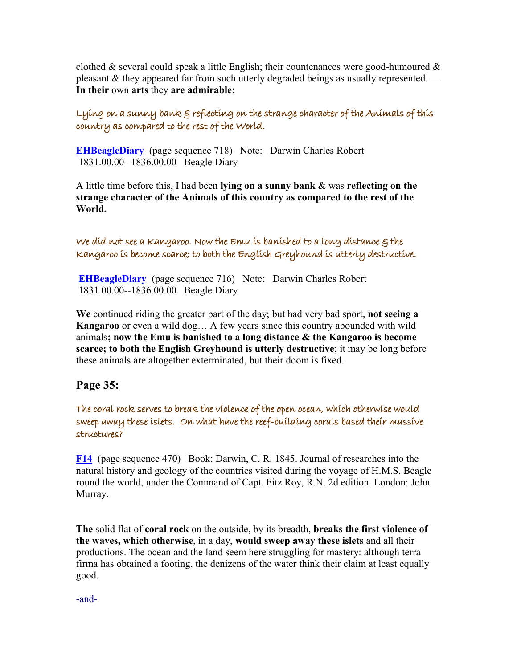clothed & several could speak a little English; their countenances were good-humoured  $\&$ pleasant & they appeared far from such utterly degraded beings as usually represented. — **In their** own **arts** they **are admirable**;

Lying on a sunny bank & reflecting on the strange character of the Animals of this country as compared to the rest of the World.

**[EHBeagleDiary](http://darwin-online.org.uk/content/frameset?viewtype=text&itemID=EHBeagleDiary&keywords=bank+sunny+reflecting+on+a+lying&pageseq=718)** (page sequence 718) Note: Darwin Charles Robert 1831.00.00--1836.00.00 Beagle Diary

A little time before this, I had been **lying on a sunny bank** & was **reflecting on the strange character of the Animals of this country as compared to the rest of the World.**

We did not see a Kangaroo. Now the Emu is banished to a long distance & the Kangaroo is become scarce; to both the English Greyhound is utterly destructive.

**[EHBeagleDiary](http://darwin-online.org.uk/content/frameset?viewtype=text&itemID=EHBeagleDiary&keywords=kangaroo+a&pageseq=716)** (page sequence 716) Note: Darwin Charles Robert 1831.00.00--1836.00.00 Beagle Diary

**We** continued riding the greater part of the day; but had very bad sport, **not seeing a Kangaroo** or even a wild dog… A few years since this country abounded with wild animals**; now the Emu is banished to a long distance & the Kangaroo is become scarce; to both the English Greyhound is utterly destructive**; it may be long before these animals are altogether exterminated, but their doom is fixed.

# **Page 35:**

The coral rock serves to break the violence of the open ocean, which otherwise would sweep away these islets. On what have the reef-building corals based their massive structures?

**[F14](http://darwin-online.org.uk/content/frameset?viewtype=text&itemID=F14&keywords=which+away+would+otherwise+these+sweep+islets&pageseq=470)** (page sequence 470) Book: Darwin, C. R. 1845. Journal of researches into the natural history and geology of the countries visited during the voyage of H.M.S. Beagle round the world, under the Command of Capt. Fitz Roy, R.N. 2d edition. London: John Murray.

**The** solid flat of **coral rock** on the outside, by its breadth, **breaks the first violence of the waves, which otherwise**, in a day, **would sweep away these islets** and all their productions. The ocean and the land seem here struggling for mastery: although terra firma has obtained a footing, the denizens of the water think their claim at least equally good.

-and-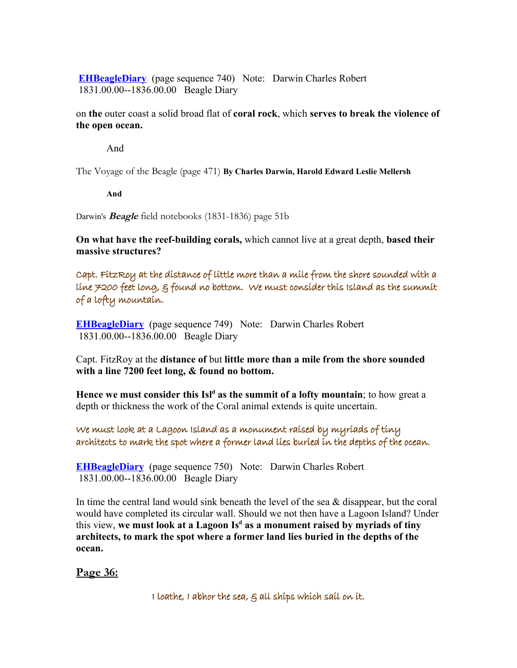**[EHBeagleDiary](http://darwin-online.org.uk/content/frameset?viewtype=text&itemID=EHBeagleDiary&keywords=break+serves+of+violence+ocean+open+the+rock+coral+to&pageseq=740)** (page sequence 740) Note: Darwin Charles Robert 1831.00.00--1836.00.00 Beagle Diary

on **the** outer coast a solid broad flat of **coral rock**, which **serves to break the violence of the open ocean.**

And

The Voyage of the Beagle (page 471) **By Charles Darwin, Harold Edward Leslie Mellersh** 

**And** 

Darwin's **Beagle** field notebooks (1831-1836) page 51b

**On what have the reef-building corals,** which cannot live at a great depth, **based their massive structures?**

Capt. FitzRoy at the distance of little more than a mile from the shore sounded with a line 7200 feet long, & found no bottom. We must consider this Island as the summit of a lofty mountain.

**[EHBeagleDiary](http://darwin-online.org.uk/content/frameset?viewtype=text&itemID=EHBeagleDiary&keywords=than+distance+mile+little+a+more+of&pageseq=749)** (page sequence 749) Note: Darwin Charles Robert 1831.00.00--1836.00.00 Beagle Diary

Capt. FitzRoy at the **distance of** but **little more than a mile from the shore sounded with a line 7200 feet long, & found no bottom.**

**Hence we must consider this Isl<sup>d</sup> as the summit of a lofty mountain**; to how great a depth or thickness the work of the Coral animal extends is quite uncertain.

We must look at a Lagoon Island as a monument raised by myriads of tiny architects to mark the spot where a former land lies buried in the depths of the ocean.

**[EHBeagleDiary](http://darwin-online.org.uk/content/frameset?viewtype=text&itemID=EHBeagleDiary&keywords=by+monument+tiny+myriads+a+of+raised+architects&pageseq=750)** (page sequence 750) Note: Darwin Charles Robert 1831.00.00--1836.00.00 Beagle Diary

In time the central land would sink beneath the level of the sea & disappear, but the coral would have completed its circular wall. Should we not then have a Lagoon Island? Under this view, **we must look at a Lagoon Is<sup>d</sup> as a monument raised by myriads of tiny architects, to mark the spot where a former land lies buried in the depths of the ocean.** 

**Page 36:**

I loathe, I abhor the sea,  $\xi$  all ships which sail on it.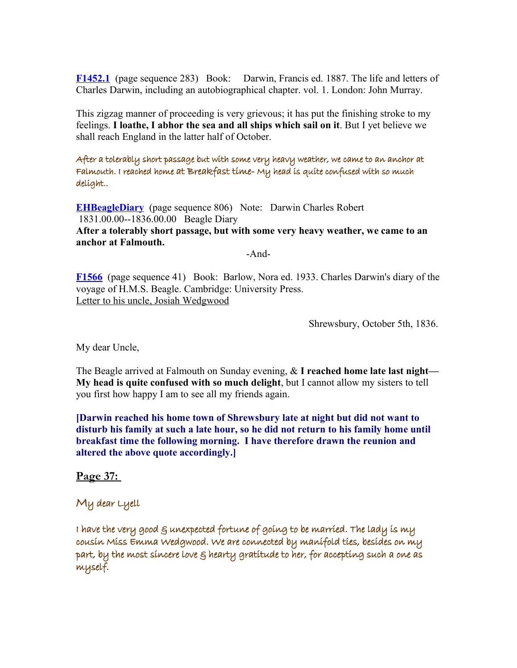**[F1452.1](http://darwin-online.org.uk/content/frameset?viewtype=text&itemID=F1452.1&keywords=which+i+loathe+abhor+all+it+the+on+sea+sail+ships&pageseq=283)** (page sequence 283) Book: Darwin, Francis ed. 1887. The life and letters of Charles Darwin, including an autobiographical chapter. vol. 1. London: John Murray.

This zigzag manner of proceeding is very grievous; it has put the finishing stroke to my feelings. **I loathe, I abhor the sea and all ships which sail on it**. But I yet believe we shall reach England in the latter half of October.

After a tolerably short passage but with some very heavy weather, we came to an anchor at Falmouth. I reached home at Breakfast time-My head is quite confused with so much delight..

**[EHBeagleDiary](http://darwin-online.org.uk/content/frameset?viewtype=text&itemID=EHBeagleDiary&keywords=after+passage+short+a+tolerably&pageseq=806)** (page sequence 806) Note: Darwin Charles Robert 1831.00.00--1836.00.00 Beagle Diary **After a tolerably short passage, but with some very heavy weather, we came to an anchor at Falmouth.**

-And-

**[F1566](http://darwin-online.org.uk/content/frameset?viewtype=text&itemID=F1566&keywords=quite+head+is+delight+my+much+so+with+confused&pageseq=41)** (page sequence 41) Book: Barlow, Nora ed. 1933. Charles Darwin's diary of the voyage of H.M.S. Beagle. Cambridge: University Press. Letter to his uncle, Josiah Wedgwood

Shrewsbury, October 5th, 1836.

My dear Uncle,

The Beagle arrived at Falmouth on Sunday evening, & **I reached home late last night— My head is quite confused with so much delight**, but I cannot allow my sisters to tell you first how happy I am to see all my friends again.

**[Darwin reached his home town of Shrewsbury late at night but did not want to disturb his family at such a late hour, so he did not return to his family home until breakfast time the following morning. I have therefore drawn the reunion and altered the above quote accordingly.]**

**Page 37:** 

My dear Lyell

I have the very good  $\varepsilon$  unexpected fortune of going to be married. The lady is my cousin Miss Emma Wedgwood. We are connected by manifold ties, besides on my part, by the most sincere love  $\varepsilon$  hearty gratitude to her, for accepting such a one as myself.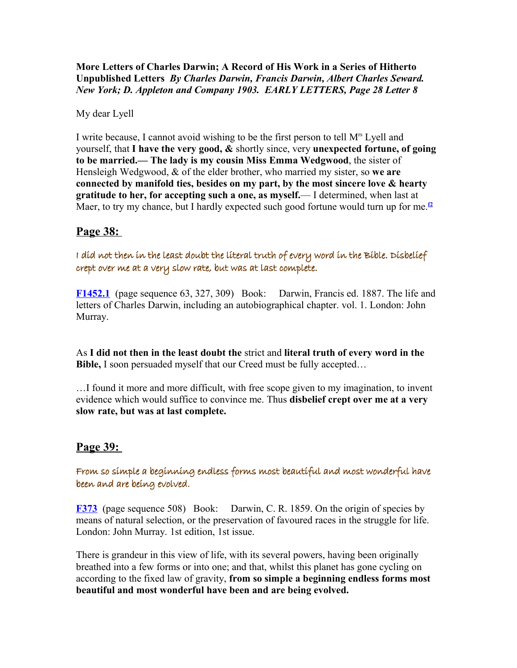**More Letters of Charles Darwin; A Record of His Work in a Series of Hitherto Unpublished Letters** *By Charles Darwin, Francis Darwin, Albert Charles Seward. New York; D. Appleton and Company 1903. EARLY LETTERS, Page 28 Letter 8*

My dear Lyell

I write because, I cannot avoid wishing to be the first person to tell M<sup>rs</sup> Lyell and yourself, that **I have the very good, &** shortly since, very **unexpected fortune, of going to be married.— The lady is my cousin Miss Emma Wedgwood**, the sister of Hensleigh Wedgwood, & of the elder brother, who married my sister, so **we are connected by manifold ties, besides on my part, by the most sincere love & hearty gratitude to her, for accepting such a one, as myself.**— I determined, when last at Maer, to try my chance, but I hardly expected such good fortune would turn up for me.<sup>*[f2](http://www.darwinproject.ac.uk/darwinletters/calendar/entry-432.html#mark-432.f2)*</sup>

# **Page 38:**

I did not then in the least doubt the literal truth of every word in the Bible. Disbelief crept over me at a very slow rate, but was at last complete.

**[F1452.1](http://darwin-online.org.uk/content/frameset?viewtype=text&itemID=F1452.1&keywords=in+then+i+every+of+doubt+the+least+literal+not+truth+bible+did+word&pageseq=63)** (page sequence 63, 327, 309) Book: Darwin, Francis ed. 1887. The life and letters of Charles Darwin, including an autobiographical chapter. vol. 1. London: John Murray.

As **I did not then in the least doubt the** strict and **literal truth of every word in the Bible,** I soon persuaded myself that our Creed must be fully accepted…

…I found it more and more difficult, with free scope given to my imagination, to invent evidence which would suffice to convince me. Thus **disbelief crept over me at a very slow rate, but was at last complete.**

# **Page 39:**

From so simple a beginning endless forms most beautiful and most wonderful have been and are being evolved.

**[F373](http://darwin-online.org.uk/content/frameset?viewtype=text&itemID=F373&keywords=are+have+from+been+wonderful+evolved+being+forms+endless+so+a+most+beginning+simple+beautiful+and&pageseq=508)** (page sequence 508) Book: Darwin, C. R. 1859. On the origin of species by means of natural selection, or the preservation of favoured races in the struggle for life. London: John Murray. 1st edition, 1st issue.

There is grandeur in this view of life, with its several powers, having been originally breathed into a few forms or into one; and that, whilst this planet has gone cycling on according to the fixed law of gravity, **from so simple a beginning endless forms most beautiful and most wonderful have been and are being evolved.**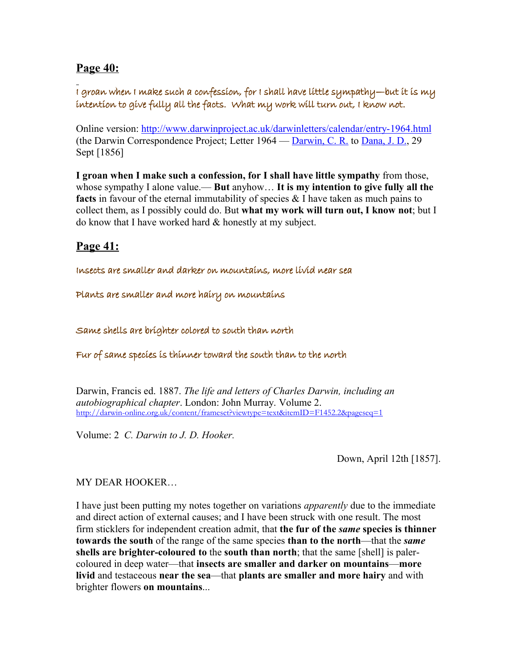# **Page 40:**

I groan when I make such a confession, for I shall have little sympathy—but it is my intention to give fully all the facts. What my work will turn out, I know not.

Online version:<http://www.darwinproject.ac.uk/darwinletters/calendar/entry-1964.html> (the Darwin Correspondence Project; Letter 1964 — [Darwin, C. R.](http://www.darwinproject.ac.uk/darwinletters/namedefs/namedef-1.html) to [Dana, J. D.,](http://www.darwinproject.ac.uk/darwinletters/namedefs/namedef-1190.html) 29 Sept [1856]

**I groan when I make such a confession, for I shall have little sympathy** from those, whose sympathy I alone value.— **But** anyhow… **It is my intention to give fully all the facts** in favour of the eternal immutability of species & I have taken as much pains to collect them, as I possibly could do. But **what my work will turn out, I know not**; but I do know that I have worked hard & honestly at my subject.

# **Page 41:**

Insects are smaller and darker on mountains, more livid near sea

Plants are smaller and more hairy on mountains

Same shells are brighter colored to south than north

Fur of same species is thinner toward the south than to the north

Darwin, Francis ed. 1887. *The life and letters of Charles Darwin, including an autobiographical chapter*. London: John Murray. Volume 2. <http://darwin-online.org.uk/content/frameset?viewtype=text&itemID=F1452.2&pageseq=1>

Volume: 2 *C. Darwin to J. D. Hooker.*

Down, April 12th [1857].

## MY DEAR HOOKER…

I have just been putting my notes together on variations *apparently* due to the immediate and direct action of external causes; and I have been struck with one result. The most firm sticklers for independent creation admit, that **the fur of the** *same* **species is thinner towards the south** of the range of the same species **than to the north**—that the *same* **shells are brighter-coloured to** the **south than north**; that the same [shell] is palercoloured in deep water—that **insects are smaller and darker on mountains**—**more livid** and testaceous **near the sea**—that **plants are smaller and more hairy** and with brighter flowers **on mountains**...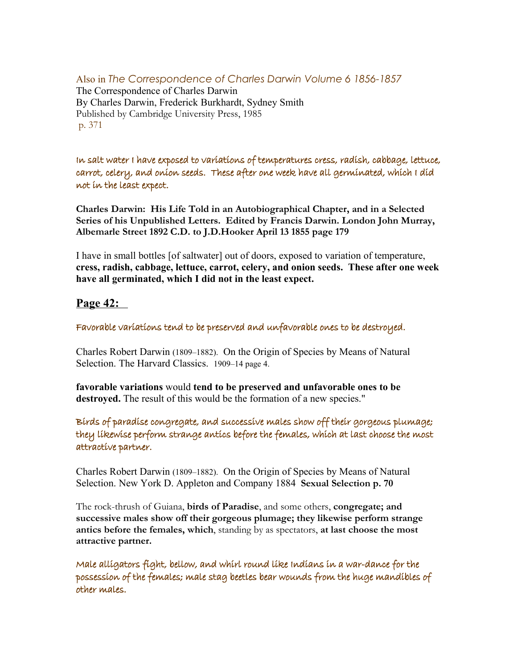#### Also in *The Correspondence of Charles Darwin Volume 6 1856-1857* The Correspondence of Charles Darwin By Charles Darwin, Frederick Burkhardt, Sydney Smith Published by Cambridge University Press, 1985 p. 371

In salt water I have exposed to variations of temperatures cress, radish, cabbage, lettuce, carrot, celery, and onion seeds. These after one week have all germinated, which I did not in the least expect.

**Charles Darwin: His Life Told in an Autobiographical Chapter, and in a Selected Series of his Unpublished Letters. Edited by Francis Darwin. London John Murray, Albemarle Street 1892 C.D. to J.D.Hooker April 13 1855 page 179**

I have in small bottles [of saltwater] out of doors, exposed to variation of temperature, **cress, radish, cabbage, lettuce, carrot, celery, and onion seeds. These after one week have all germinated, which I did not in the least expect.** 

# **Page 42:**

Favorable variations tend to be preserved and unfavorable ones to be destroyed.

Charles Robert Darwin (1809–1882). On the Origin of Species by Means of Natural Selection. The Harvard Classics. 1909–14 page 4.

**favorable variations** would **tend to be preserved and unfavorable ones to be destroyed.** The result of this would be the formation of a new species."

Birds of paradise congregate, and successive males show off their gorgeous plumage; they likewise perform strange antics before the females, which at last choose the most attractive partner.

Charles Robert Darwin (1809–1882). On the Origin of Species by Means of Natural Selection. New York D. Appleton and Company 1884 **Sexual Selection p. 70**

The rock-thrush of Guiana, **birds of Paradise**, and some others, **congregate; and successive males show off their gorgeous plumage; they likewise perform strange antics before the females, which**, standing by as spectators, **at last choose the most attractive partner.**

Male alligators fight, bellow, and whirl round like Indians in a war-dance for the possession of the females; male stag beetles bear wounds from the huge mandibles of other males.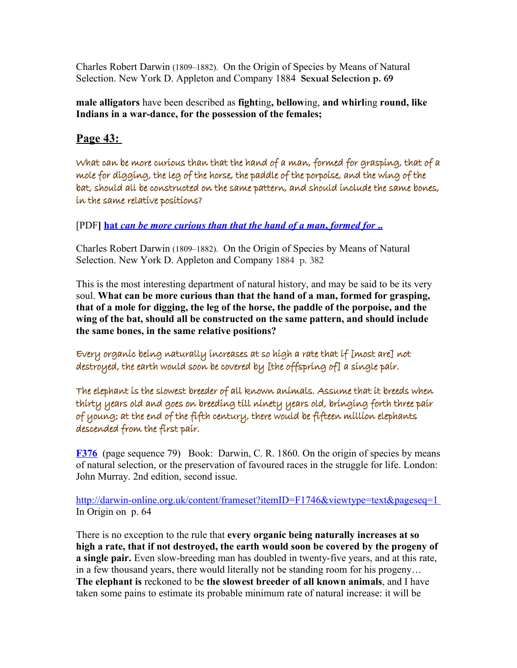Charles Robert Darwin (1809–1882). On the Origin of Species by Means of Natural Selection. New York D. Appleton and Company 1884 **Sexual Selection p. 69**

**male alligators** have been described as **fight**ing**, bellow**ing, **and whirl**ing **round, like Indians in a war-dance, for the possession of the females;**

# **Page 43:**

What can be more curious than that the hand of a man, formed for grasping, that of a mole for digging, the leg of the horse, the paddle of the porpoise, and the wing of the bat, should all be constructed on the same pattern, and should include the same bones, in the same relative positions?

[PDF] hat [can be more curious than that the hand of a man](http://home.sandiego.edu/~cloer/bio376f07/376f07_lectures/Lect28mod-376F07.pdf), formed for ...

Charles Robert Darwin (1809–1882). On the Origin of Species by Means of Natural Selection. New York D. Appleton and Company 1884 p. 382

This is the most interesting department of natural history, and may be said to be its very soul. **What can be more curious than that the hand of a man, formed for grasping, that of a mole for digging, the leg of the horse, the paddle of the porpoise, and the wing of the bat, should all be constructed on the same pattern, and should include the same bones, in the same relative positions?** 

Every organic being naturally increases at so high a rate that if [most are] not destroyed, the earth would soon be covered by [the offspring of] a single pair.

The elephant is the slowest breeder of all known animals. Assume that it breeds when thirty years old and goes on breeding till ninety years old, bringing forth three pair of young; at the end of the fifth century, there would be fifteen million elephants descended from the first pair.

**[F376](http://darwin-online.org.uk/content/frameset?viewtype=text&itemID=F376&keywords=elephant+from+bringing+years+slowest+that+of+is+fifth+first+fifteen+three+all+forth+century+young+till+animals+and+when+old+million+would+descended+at+there+be+breeds+elephants+pair+it+end+the+on+known+breeding+ninety+assume+breeder+thirty+goes&pageseq=79)** (page sequence 79) Book: Darwin, C. R. 1860. On the origin of species by means of natural selection, or the preservation of favoured races in the struggle for life. London: John Murray. 2nd edition, second issue.

<http://darwin-online.org.uk/content/frameset?itemID=F1746&viewtype=text&pageseq=1> In Origin on p. 64

There is no exception to the rule that **every organic being naturally increases at so high a rate, that if not destroyed, the earth would soon be covered by the progeny of a single pair.** Even slow-breeding man has doubled in twenty-five years, and at this rate, in a few thousand years, there would literally not be standing room for his progeny… **The elephant is** reckoned to be **the slowest breeder of all known animals**, and I have taken some pains to estimate its probable minimum rate of natural increase: it will be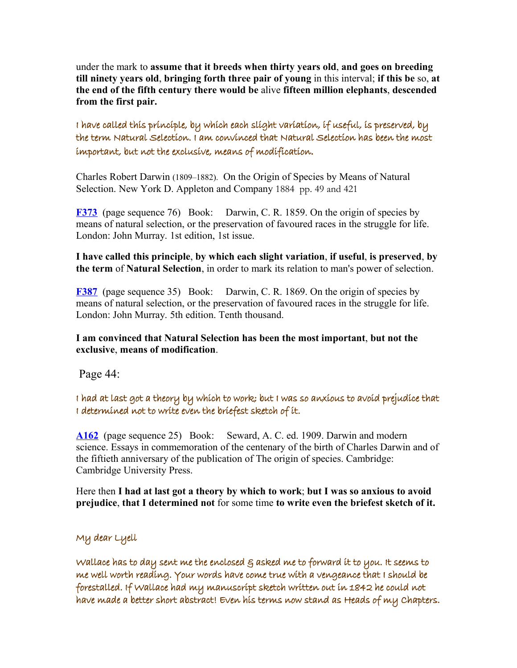under the mark to **assume that it breeds when thirty years old**, **and goes on breeding till ninety years old**, **bringing forth three pair of young** in this interval; **if this be** so, **at the end of the fifth century there would be** alive **fifteen million elephants**, **descended from the first pair.**

I have called this principle, by which each slight variation, if useful, is preserved, by the term Natural Selection. I am convinced that Natural Selection has been the most important, but not the exclusive, means of modification.

Charles Robert Darwin (1809–1882). On the Origin of Species by Means of Natural Selection. New York D. Appleton and Company 1884 pp. 49 and 421

**[F373](http://darwin-online.org.uk/content/frameset?viewtype=text&itemID=F373&keywords=slight+have+natural+which+i+preserved+principle+each+term+useful+this+is+by+the+selection+variation+if+called&pageseq=76)** (page sequence 76) Book: Darwin, C. R. 1859. On the origin of species by means of natural selection, or the preservation of favoured races in the struggle for life. London: John Murray. 1st edition, 1st issue.

**I have called this principle**, **by which each slight variation**, **if useful**, **is preserved**, **by the term** of **Natural Selection**, in order to mark its relation to man's power of selection.

**[F387](http://darwin-online.org.uk/content/frameset?viewtype=text&itemID=F387&keywords=natural+i+been+that+of+exclusive+but+means+am+important+the+most+not+selection+has+modification+convinced&pageseq=35)** (page sequence 35) Book: Darwin, C. R. 1869. On the origin of species by means of natural selection, or the preservation of favoured races in the struggle for life. London: John Murray. 5th edition. Tenth thousand.

#### **I am convinced that Natural Selection has been the most important**, **but not the exclusive**, **means of modification**.

Page 44:

I had at last got a theory by which to work; but I was so anxious to avoid prejudice that I determined not to write even the briefest sketch of it.

**[A162](http://darwin-online.org.uk/content/frameset?viewtype=text&itemID=A162&keywords=prejudice+i+determined+that+of+sketch+but+briefest+last+had+anxious+work+which+got+at+avoid+was+by+theory+it+the+a+so+even+not+write+to&pageseq=25)** (page sequence 25) Book: Seward, A. C. ed. 1909. Darwin and modern science. Essays in commemoration of the centenary of the birth of Charles Darwin and of the fiftieth anniversary of the publication of The origin of species. Cambridge: Cambridge University Press.

Here then **I had at last got a theory by which to work**; **but I was so anxious to avoid prejudice**, **that I determined not** for some time **to write even the briefest sketch of it.**

## My dear Lyell

Wallace has to day sent me the enclosed & asked me to forward it to you. It seems to me well worth reading. Your words have come true with a vengeance that I should be forestalled. If Wallace had my manuscript sketch written out in 1842 he could not have made a better short abstract! Even his terms now stand as Heads of my Chapters.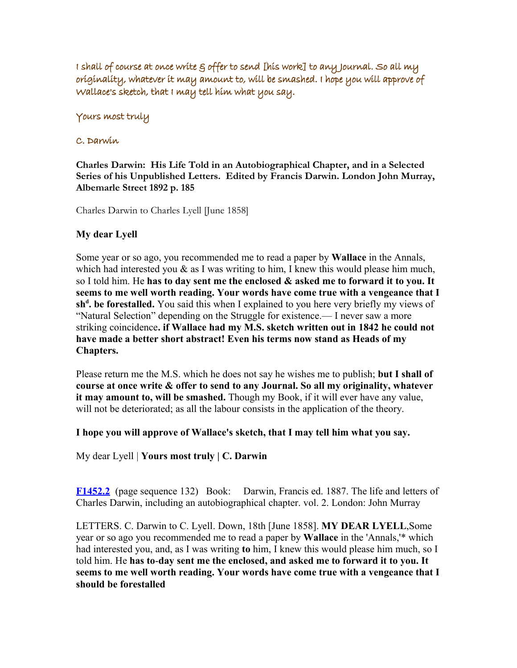I shall of course at once write  $\varepsilon$  offer to send [his work] to any Journal. So all my originality, whatever it may amount to, will be smashed. I hope you will approve of Wallace's sketch, that I may tell him what you say.

#### Yours most truly

#### C. Darwin

**Charles Darwin: His Life Told in an Autobiographical Chapter, and in a Selected Series of his Unpublished Letters. Edited by Francis Darwin. London John Murray, Albemarle Street 1892 p. 185** 

Charles Darwin to Charles Lyell [June 1858]

#### **My dear Lyell**

Some year or so ago, you recommended me to read a paper by **Wallace** in the Annals, which had interested you  $\&$  as I was writing to him, I knew this would please him much, so I told him. He **has to day sent me the enclosed & asked me to forward it to you. It seems to me well worth reading. Your words have come true with a vengeance that I sh<sup>d</sup> . be forestalled.** You said this when I explained to you here very briefly my views of "Natural Selection" depending on the Struggle for existence.— I never saw a more striking coincidence**. if Wallace had my M.S. sketch written out in 1842 he could not have made a better short abstract! Even his terms now stand as Heads of my Chapters.**

Please return me the M.S. which he does not say he wishes me to publish; **but I shall of course at once write & offer to send to any Journal. So all my originality, whatever it may amount to, will be smashed.** Though my Book, if it will ever have any value, will not be deteriorated; as all the labour consists in the application of the theory.

#### **I hope you will approve of Wallace's sketch, that I may tell him what you say.**

My dear Lyell | **Yours most truly | C. Darwin**

**[F1452.2](http://darwin-online.org.uk/content/frameset?viewtype=text&itemID=F1452.2&keywords=day+me+lyell+my+the+enclosed+wallace+has+sent+dear+to&pageseq=132)** (page sequence 132) Book: Darwin, Francis ed. 1887. The life and letters of Charles Darwin, including an autobiographical chapter. vol. 2. London: John Murray

LETTERS. C. Darwin to C. Lyell. Down, 18th [June 1858]. **MY DEAR LYELL**,Some year or so ago you recommended me to read a paper by **Wallace** in the 'Annals,'\* which had interested you, and, as I was writing **to** him, I knew this would please him much, so I told him. He **has to**-**day sent me the enclosed, and asked me to forward it to you. It seems to me well worth reading. Your words have come true with a vengeance that I should be forestalled**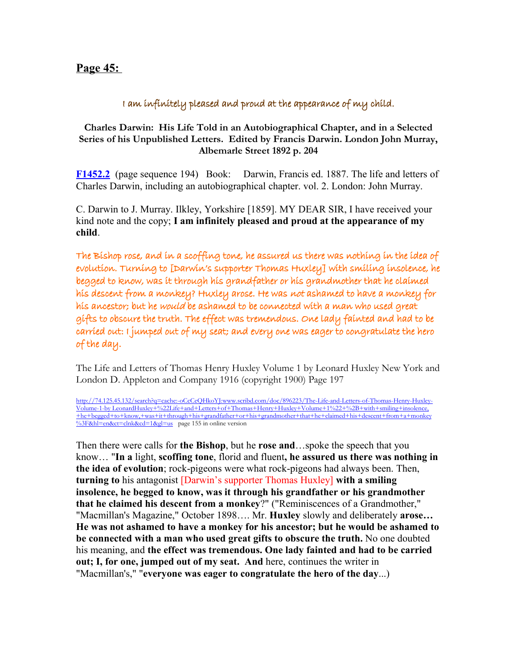# **Page 45:**

## I am infinitely pleased and proud at the appearance of my child.

#### **Charles Darwin: His Life Told in an Autobiographical Chapter, and in a Selected Series of his Unpublished Letters. Edited by Francis Darwin. London John Murray, Albemarle Street 1892 p. 204**

**[F1452.2](http://darwin-online.org.uk/content/frameset?viewtype=text&itemID=F1452.2&keywords=proud+pleased+am+child+my+i+the+infinitely+appearance+at+of+and&pageseq=194)** (page sequence 194) Book: Darwin, Francis ed. 1887. The life and letters of Charles Darwin, including an autobiographical chapter. vol. 2. London: John Murray.

C. Darwin to J. Murray. Ilkley, Yorkshire [1859]. MY DEAR SIR, I have received your kind note and the copy; **I am infinitely pleased and proud at the appearance of my child**.

The Bishop rose, and in a scoffing tone, he assured us there was nothing in the idea of evolution. Turning to [Darwin's supporter Thomas Huxley] with smiling insolence, he begged to know, was it through his grandfather or his grandmother that he claimed his descent from a monkey? Huxley arose. He was not ashamed to have a monkey for his ancestor; but he would be ashamed to be connected with a man who used great gifts to obscure the truth. The effect was tremendous. One lady fainted and had to be carried out: I jumped out of my seat; and every one was eager to congratulate the hero of the day.

The Life and Letters of Thomas Henry Huxley Volume 1 by Leonard Huxley New York and London D. Appleton and Company 1916 (copyright 1900) Page 197

[http://74.125.45.132/search?q=cache:-oCcCeQHkoYJ:www.scribd.com/doc/896223/The-Life-and-Letters-of-Thomas-Henry-Huxley-](http://74.125.45.132/search?q=cache:-oCcCeQHkoYJ:www.scribd.com/doc/896223/The-Life-and-Letters-of-Thomas-Henry-Huxley-Volume-1-by LeonardHuxley+"Life+and+Letters+of+Thomas+Henry+Huxley+Volume+1"+++with+smiling+insolence,+he+begged+to+know,+was+it+through+his+grandfather+or+his+grandmother+that+he+claimed+his+descent+from+a+monkey?&hl=en&ct=clnk&cd=1&gl=us)Volume-1-by LeonardHuxley+%22Life+and+Letters+of+Thomas+Henry+Huxley+Volume+1%22+%2B+with+smiling+insolence, [+he+begged+to+know,+was+it+through+his+grandfather+or+his+grandmother+that+he+claimed+his+descent+from+a+monkey](http://74.125.45.132/search?q=cache:-oCcCeQHkoYJ:www.scribd.com/doc/896223/The-Life-and-Letters-of-Thomas-Henry-Huxley-Volume-1-by LeonardHuxley+"Life+and+Letters+of+Thomas+Henry+Huxley+Volume+1"+++with+smiling+insolence,+he+begged+to+know,+was+it+through+his+grandfather+or+his+grandmother+that+he+claimed+his+descent+from+a+monkey?&hl=en&ct=clnk&cd=1&gl=us) [%3F&hl=en&ct=clnk&cd=1&gl=us](http://74.125.45.132/search?q=cache:-oCcCeQHkoYJ:www.scribd.com/doc/896223/The-Life-and-Letters-of-Thomas-Henry-Huxley-Volume-1-by LeonardHuxley+"Life+and+Letters+of+Thomas+Henry+Huxley+Volume+1"+++with+smiling+insolence,+he+begged+to+know,+was+it+through+his+grandfather+or+his+grandmother+that+he+claimed+his+descent+from+a+monkey?&hl=en&ct=clnk&cd=1&gl=us) page 155 in online version

Then there were calls for **the Bishop**, but he **rose and**…spoke the speech that you know… "**In a** light, **scoffing tone**, florid and fluent**, he assured us there was nothing in the idea of evolution**; rock-pigeons were what rock-pigeons had always been. Then, **turning to** his antagonist [Darwin's supporter Thomas Huxley] **with a smiling insolence, he begged to know, was it through his grandfather or his grandmother that he claimed his descent from a monkey**?" ("Reminiscences of a Grandmother," "Macmillan's Magazine," October 1898…. Mr. **Huxley** slowly and deliberately **arose… He was not ashamed to have a monkey for his ancestor; but he would be ashamed to be connected with a man who used great gifts to obscure the truth.** No one doubted his meaning, and **the effect was tremendous. One lady fainted and had to be carried out; I, for one, jumped out of my seat. And** here, continues the writer in "Macmillan's," "**everyone was eager to congratulate the hero of the day**...)